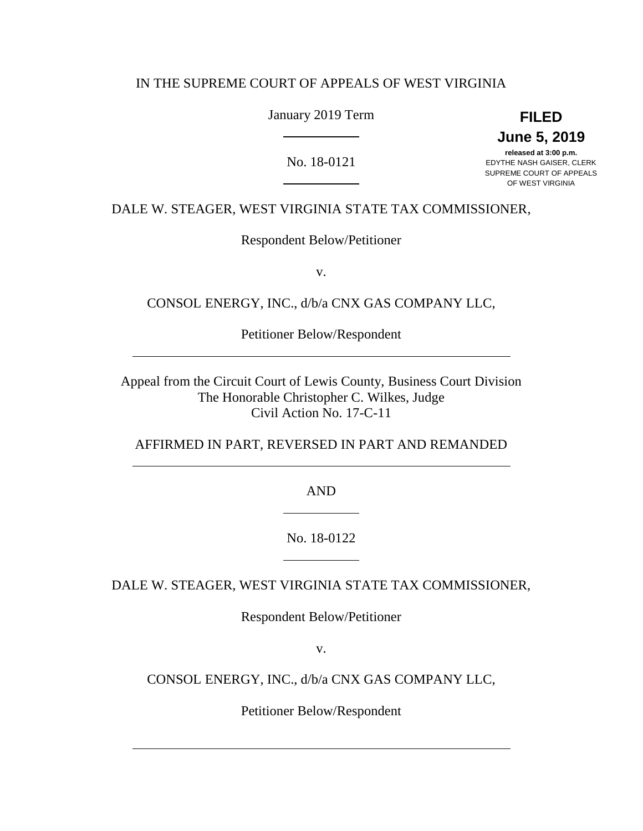## IN THE SUPREME COURT OF APPEALS OF WEST VIRGINIA

January 2019 Term

**FILED June 5, 2019**

No. 18-0121

**released at 3:00 p.m.** EDYTHE NASH GAISER, CLERK SUPREME COURT OF APPEALS OF WEST VIRGINIA

DALE W. STEAGER, WEST VIRGINIA STATE TAX COMMISSIONER,

Respondent Below/Petitioner

v.

CONSOL ENERGY, INC., d/b/a CNX GAS COMPANY LLC,

Petitioner Below/Respondent

Appeal from the Circuit Court of Lewis County, Business Court Division The Honorable Christopher C. Wilkes, Judge Civil Action No. 17-C-11

AFFIRMED IN PART, REVERSED IN PART AND REMANDED

AND

No. 18-0122

DALE W. STEAGER, WEST VIRGINIA STATE TAX COMMISSIONER,

Respondent Below/Petitioner

v.

CONSOL ENERGY, INC., d/b/a CNX GAS COMPANY LLC,

Petitioner Below/Respondent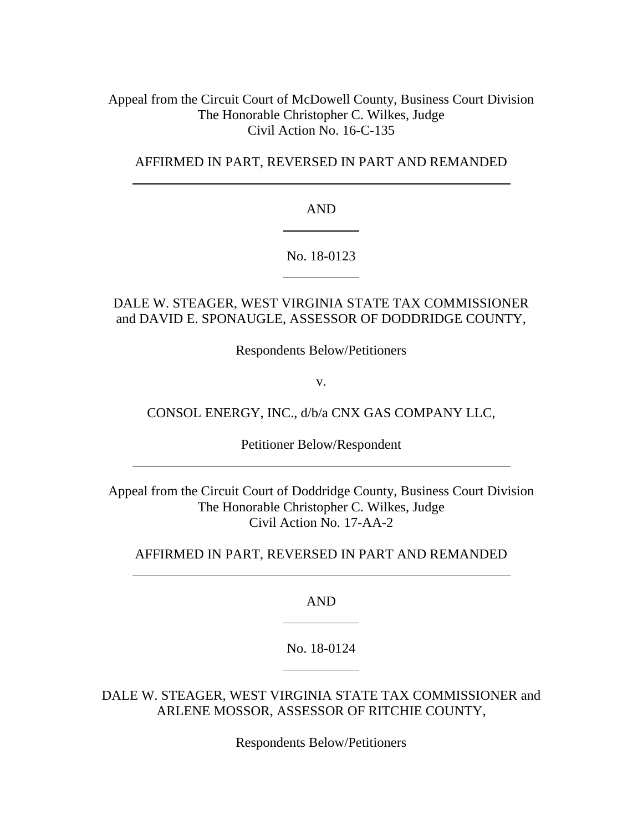Appeal from the Circuit Court of McDowell County, Business Court Division The Honorable Christopher C. Wilkes, Judge Civil Action No. 16-C-135

AFFIRMED IN PART, REVERSED IN PART AND REMANDED

AND

No. 18-0123

# DALE W. STEAGER, WEST VIRGINIA STATE TAX COMMISSIONER and DAVID E. SPONAUGLE, ASSESSOR OF DODDRIDGE COUNTY,

Respondents Below/Petitioners

v.

CONSOL ENERGY, INC., d/b/a CNX GAS COMPANY LLC,

Petitioner Below/Respondent

Appeal from the Circuit Court of Doddridge County, Business Court Division The Honorable Christopher C. Wilkes, Judge Civil Action No. 17-AA-2

AFFIRMED IN PART, REVERSED IN PART AND REMANDED

AND

No. 18-0124

DALE W. STEAGER, WEST VIRGINIA STATE TAX COMMISSIONER and ARLENE MOSSOR, ASSESSOR OF RITCHIE COUNTY,

Respondents Below/Petitioners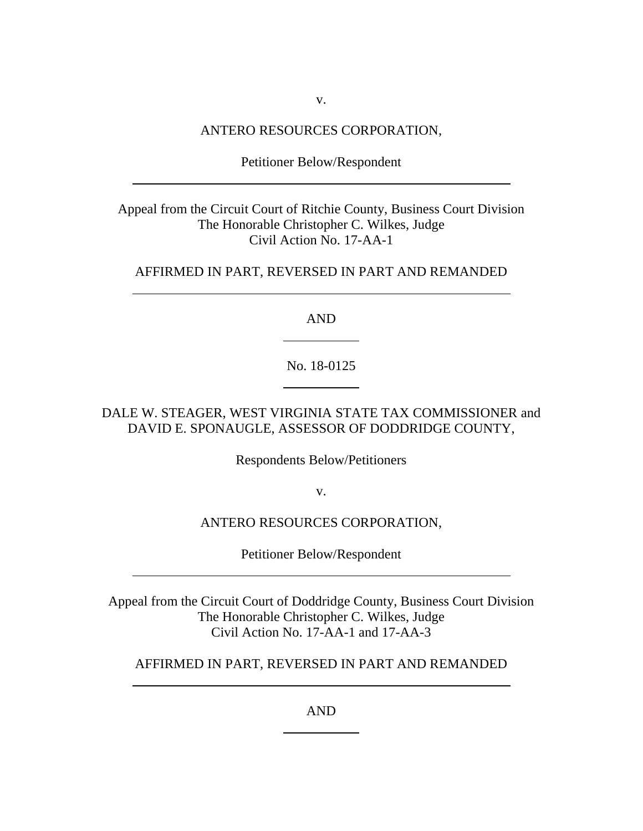v.

#### ANTERO RESOURCES CORPORATION,

Petitioner Below/Respondent

Appeal from the Circuit Court of Ritchie County, Business Court Division The Honorable Christopher C. Wilkes, Judge Civil Action No. 17-AA-1

## AFFIRMED IN PART, REVERSED IN PART AND REMANDED

AND

No. 18-0125

DALE W. STEAGER, WEST VIRGINIA STATE TAX COMMISSIONER and DAVID E. SPONAUGLE, ASSESSOR OF DODDRIDGE COUNTY,

Respondents Below/Petitioners

v.

## ANTERO RESOURCES CORPORATION,

Petitioner Below/Respondent

Appeal from the Circuit Court of Doddridge County, Business Court Division The Honorable Christopher C. Wilkes, Judge Civil Action No. 17-AA-1 and 17-AA-3

AFFIRMED IN PART, REVERSED IN PART AND REMANDED

AND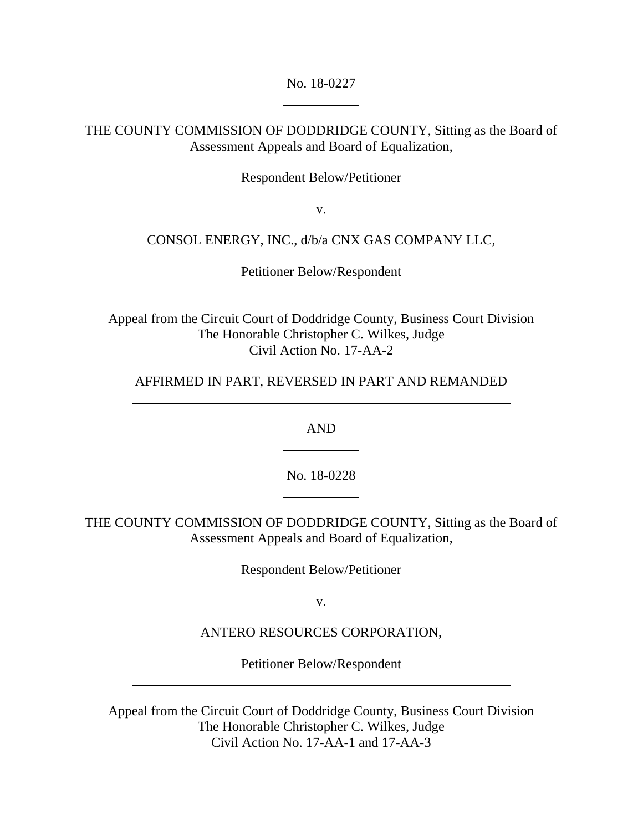No. 18-0227

THE COUNTY COMMISSION OF DODDRIDGE COUNTY, Sitting as the Board of Assessment Appeals and Board of Equalization,

Respondent Below/Petitioner

v.

CONSOL ENERGY, INC., d/b/a CNX GAS COMPANY LLC,

Petitioner Below/Respondent

Appeal from the Circuit Court of Doddridge County, Business Court Division The Honorable Christopher C. Wilkes, Judge Civil Action No. 17-AA-2

AFFIRMED IN PART, REVERSED IN PART AND REMANDED

AND

No. 18-0228

THE COUNTY COMMISSION OF DODDRIDGE COUNTY, Sitting as the Board of Assessment Appeals and Board of Equalization,

Respondent Below/Petitioner

v.

ANTERO RESOURCES CORPORATION,

Petitioner Below/Respondent

Appeal from the Circuit Court of Doddridge County, Business Court Division The Honorable Christopher C. Wilkes, Judge Civil Action No. 17-AA-1 and 17-AA-3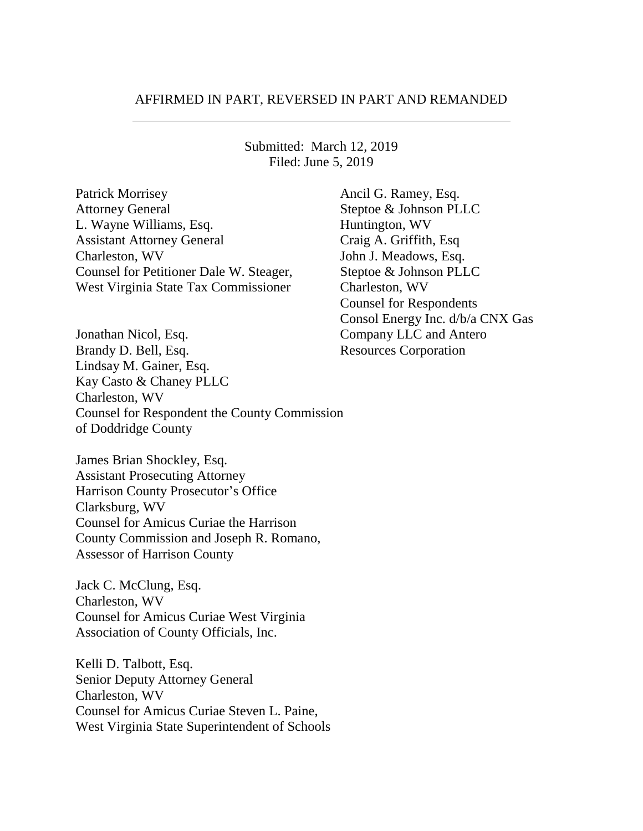#### AFFIRMED IN PART, REVERSED IN PART AND REMANDED

Submitted: March 12, 2019 Filed: June 5, 2019

Patrick Morrisey **Ancil G. Ramey, Esq.** Ancil G. Ramey, Esq. Attorney General Steptoe & Johnson PLLC L. Wayne Williams, Esq. Huntington, WV Assistant Attorney General Craig A. Griffith, Esq Charleston, WV John J. Meadows, Esq. Counsel for Petitioner Dale W. Steager, Steptoe & Johnson PLLC West Virginia State Tax Commissioner Charleston, WV

Jonathan Nicol, Esq. Company LLC and Antero Brandy D. Bell, Esq. Resources Corporation Lindsay M. Gainer, Esq. Kay Casto & Chaney PLLC Charleston, WV Counsel for Respondent the County Commission of Doddridge County

James Brian Shockley, Esq. Assistant Prosecuting Attorney Harrison County Prosecutor's Office Clarksburg, WV Counsel for Amicus Curiae the Harrison County Commission and Joseph R. Romano, Assessor of Harrison County

Jack C. McClung, Esq. Charleston, WV Counsel for Amicus Curiae West Virginia Association of County Officials, Inc.

Kelli D. Talbott, Esq. Senior Deputy Attorney General Charleston, WV Counsel for Amicus Curiae Steven L. Paine, West Virginia State Superintendent of Schools Counsel for Respondents Consol Energy Inc. d/b/a CNX Gas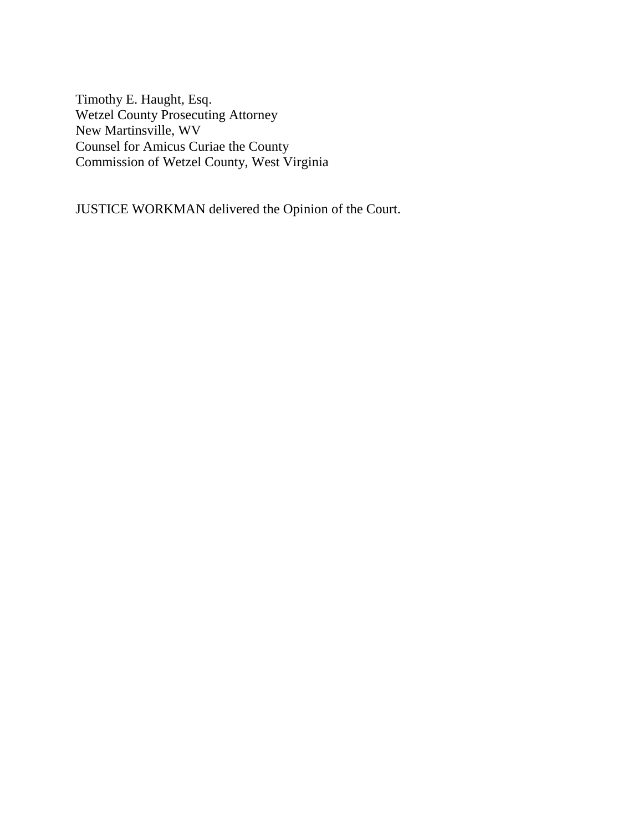Timothy E. Haught, Esq. Wetzel County Prosecuting Attorney New Martinsville, WV Counsel for Amicus Curiae the County Commission of Wetzel County, West Virginia

JUSTICE WORKMAN delivered the Opinion of the Court.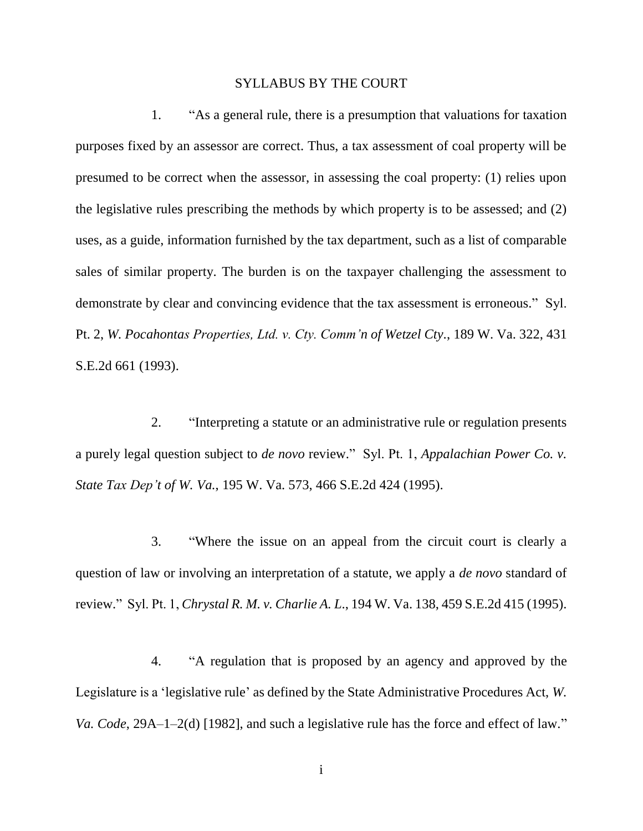#### SYLLABUS BY THE COURT

1. "As a general rule, there is a presumption that valuations for taxation purposes fixed by an assessor are correct. Thus, a tax assessment of coal property will be presumed to be correct when the assessor, in assessing the coal property: (1) relies upon the legislative rules prescribing the methods by which property is to be assessed; and (2) uses, as a guide, information furnished by the tax department, such as a list of comparable sales of similar property. The burden is on the taxpayer challenging the assessment to demonstrate by clear and convincing evidence that the tax assessment is erroneous." Syl. Pt. 2, *W. Pocahontas Properties, Ltd. v. Cty. Comm'n of Wetzel Cty*., 189 W. Va. 322, 431 S.E.2d 661 (1993).

2. "Interpreting a statute or an administrative rule or regulation presents a purely legal question subject to *de novo* review." Syl. Pt. 1, *Appalachian Power Co. v. State Tax Dep't of W. Va.*, 195 W. Va. 573, 466 S.E.2d 424 (1995).

3. "Where the issue on an appeal from the circuit court is clearly a question of law or involving an interpretation of a statute, we apply a *de novo* standard of review." Syl. Pt. 1, *Chrystal R. M. v. Charlie A. L*., 194 W. Va. 138, 459 S.E.2d 415 (1995).

4. "A regulation that is proposed by an agency and approved by the Legislature is a 'legislative rule' as defined by the State Administrative Procedures Act, *W. Va. Code*, 29A–1–2(d) [1982], and such a legislative rule has the force and effect of law."

i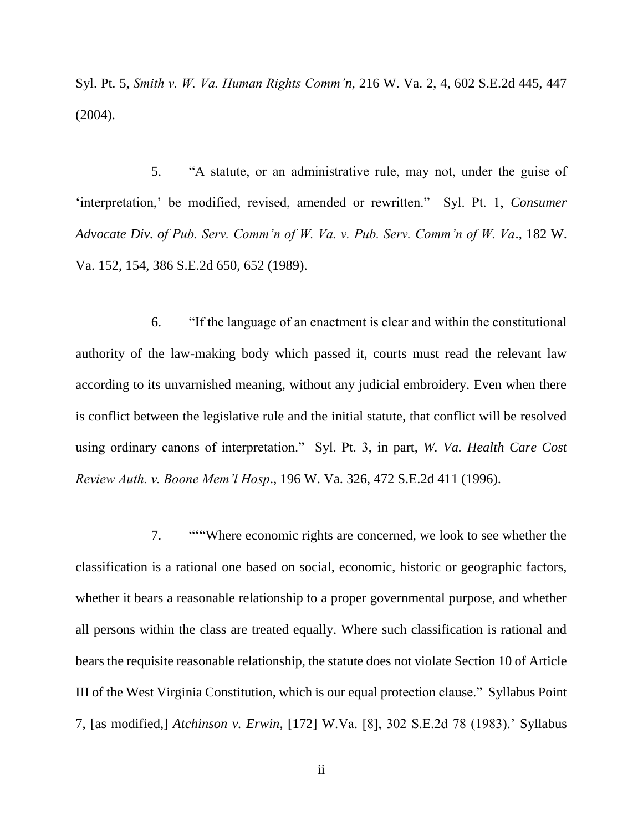Syl. Pt. 5, *Smith v. W. Va. Human Rights Comm'n*, 216 W. Va. 2, 4, 602 S.E.2d 445, 447 (2004).

5. "A statute, or an administrative rule, may not, under the guise of 'interpretation,' be modified, revised, amended or rewritten." Syl. Pt. 1, *Consumer Advocate Div. of Pub. Serv. Comm'n of W. Va. v. Pub. Serv. Comm'n of W. Va*., 182 W. Va. 152, 154, 386 S.E.2d 650, 652 (1989).

6. "If the language of an enactment is clear and within the constitutional authority of the law-making body which passed it, courts must read the relevant law according to its unvarnished meaning, without any judicial embroidery. Even when there is conflict between the legislative rule and the initial statute, that conflict will be resolved using ordinary canons of interpretation." Syl. Pt. 3, in part, *W. Va. Health Care Cost Review Auth. v. Boone Mem'l Hosp*., 196 W. Va. 326, 472 S.E.2d 411 (1996).

7. "'"Where economic rights are concerned, we look to see whether the classification is a rational one based on social, economic, historic or geographic factors, whether it bears a reasonable relationship to a proper governmental purpose, and whether all persons within the class are treated equally. Where such classification is rational and bears the requisite reasonable relationship, the statute does not violate Section 10 of Article III of the West Virginia Constitution, which is our equal protection clause." Syllabus Point 7, [as modified,] *Atchinson v. Erwin*, [172] W.Va. [8], 302 S.E.2d 78 (1983).' Syllabus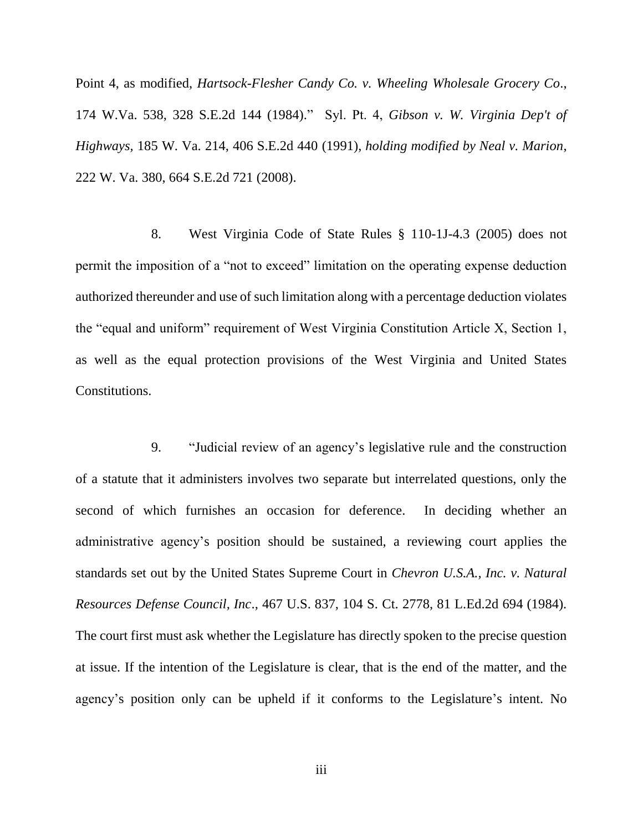Point 4, as modified, *Hartsock-Flesher Candy Co. v. Wheeling Wholesale Grocery Co*., 174 W.Va. 538, 328 S.E.2d 144 (1984)." Syl. Pt. 4, *Gibson v. W. Virginia Dep't of Highways,* 185 W. Va. 214, 406 S.E.2d 440 (1991), *holding modified by Neal v. Marion*, 222 W. Va. 380, 664 S.E.2d 721 (2008).

8. West Virginia Code of State Rules § 110-1J-4.3 (2005) does not permit the imposition of a "not to exceed" limitation on the operating expense deduction authorized thereunder and use of such limitation along with a percentage deduction violates the "equal and uniform" requirement of West Virginia Constitution Article X, Section 1, as well as the equal protection provisions of the West Virginia and United States Constitutions.

9. "Judicial review of an agency's legislative rule and the construction of a statute that it administers involves two separate but interrelated questions, only the second of which furnishes an occasion for deference. In deciding whether an administrative agency's position should be sustained, a reviewing court applies the standards set out by the United States Supreme Court in *Chevron U.S.A., Inc. v. Natural Resources Defense Council, Inc*., 467 U.S. 837, 104 S. Ct. 2778, 81 L.Ed.2d 694 (1984). The court first must ask whether the Legislature has directly spoken to the precise question at issue. If the intention of the Legislature is clear, that is the end of the matter, and the agency's position only can be upheld if it conforms to the Legislature's intent. No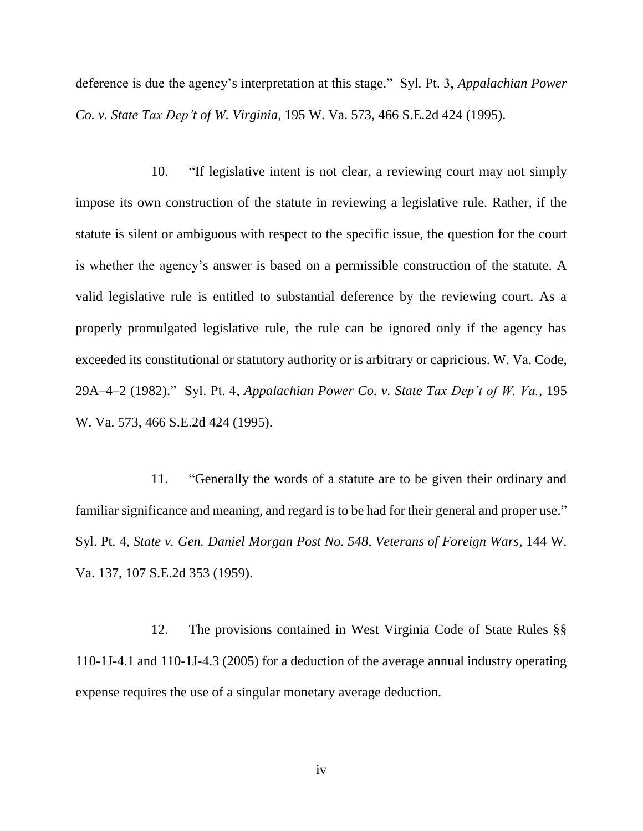deference is due the agency's interpretation at this stage." Syl. Pt. 3, *Appalachian Power Co. v. State Tax Dep't of W. Virginia*, 195 W. Va. 573, 466 S.E.2d 424 (1995).

10. "If legislative intent is not clear, a reviewing court may not simply impose its own construction of the statute in reviewing a legislative rule. Rather, if the statute is silent or ambiguous with respect to the specific issue, the question for the court is whether the agency's answer is based on a permissible construction of the statute. A valid legislative rule is entitled to substantial deference by the reviewing court. As a properly promulgated legislative rule, the rule can be ignored only if the agency has exceeded its constitutional or statutory authority or is arbitrary or capricious. W. Va. Code, 29A–4–2 (1982)." Syl. Pt. 4, *Appalachian Power Co. v. State Tax Dep't of W. Va.*, 195 W. Va. 573, 466 S.E.2d 424 (1995).

11. "Generally the words of a statute are to be given their ordinary and familiar significance and meaning, and regard is to be had for their general and proper use." Syl. Pt. 4, *State v. Gen. Daniel Morgan Post No. 548, Veterans of Foreign Wars*, 144 W. Va. 137, 107 S.E.2d 353 (1959).

12. The provisions contained in West Virginia Code of State Rules §§ 110-1J-4.1 and 110-1J-4.3 (2005) for a deduction of the average annual industry operating expense requires the use of a singular monetary average deduction.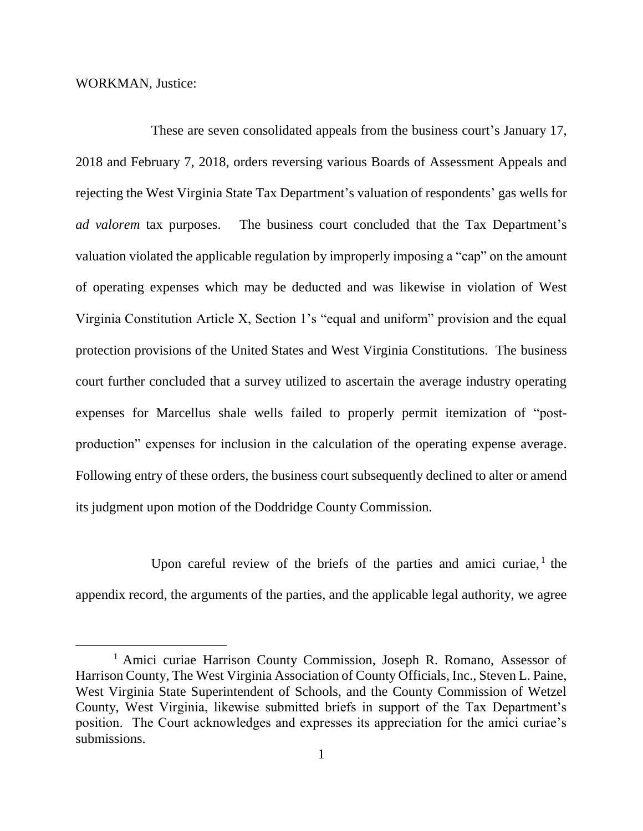WORKMAN, Justice:

 $\overline{a}$ 

These are seven consolidated appeals from the business court's January 17, 2018 and February 7, 2018, orders reversing various Boards of Assessment Appeals and rejecting the West Virginia State Tax Department's valuation of respondents' gas wells for *ad valorem* tax purposes. The business court concluded that the Tax Department's valuation violated the applicable regulation by improperly imposing a "cap" on the amount of operating expenses which may be deducted and was likewise in violation of West Virginia Constitution Article X, Section 1's "equal and uniform" provision and the equal protection provisions of the United States and West Virginia Constitutions. The business court further concluded that a survey utilized to ascertain the average industry operating expenses for Marcellus shale wells failed to properly permit itemization of "postproduction" expenses for inclusion in the calculation of the operating expense average. Following entry of these orders, the business court subsequently declined to alter or amend its judgment upon motion of the Doddridge County Commission.

Upon careful review of the briefs of the parties and amici curiae, $<sup>1</sup>$  the</sup> appendix record, the arguments of the parties, and the applicable legal authority, we agree

<sup>&</sup>lt;sup>1</sup> Amici curiae Harrison County Commission, Joseph R. Romano, Assessor of Harrison County, The West Virginia Association of County Officials, Inc., Steven L. Paine, West Virginia State Superintendent of Schools, and the County Commission of Wetzel County, West Virginia, likewise submitted briefs in support of the Tax Department's position. The Court acknowledges and expresses its appreciation for the amici curiae's submissions.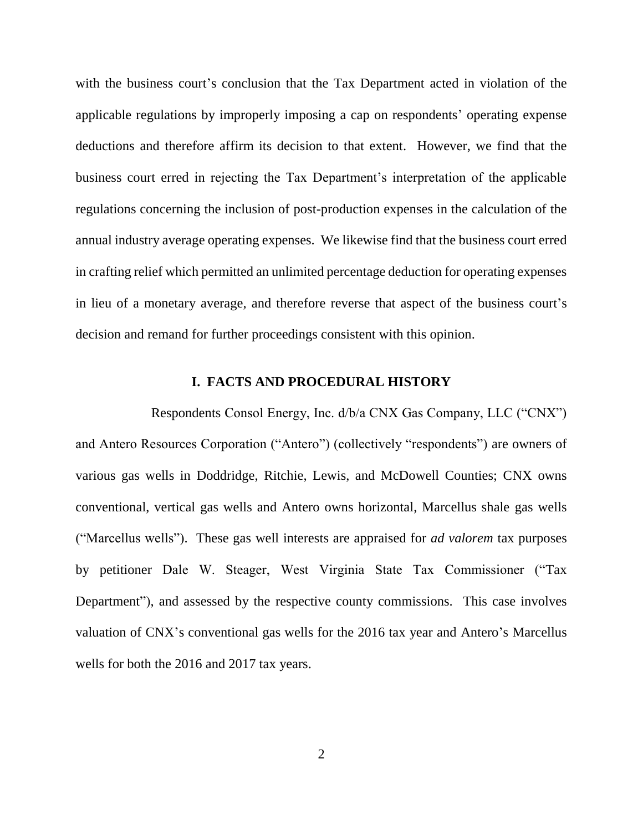with the business court's conclusion that the Tax Department acted in violation of the applicable regulations by improperly imposing a cap on respondents' operating expense deductions and therefore affirm its decision to that extent. However, we find that the business court erred in rejecting the Tax Department's interpretation of the applicable regulations concerning the inclusion of post-production expenses in the calculation of the annual industry average operating expenses. We likewise find that the business court erred in crafting relief which permitted an unlimited percentage deduction for operating expenses in lieu of a monetary average, and therefore reverse that aspect of the business court's decision and remand for further proceedings consistent with this opinion.

## **I. FACTS AND PROCEDURAL HISTORY**

Respondents Consol Energy, Inc. d/b/a CNX Gas Company, LLC ("CNX") and Antero Resources Corporation ("Antero") (collectively "respondents") are owners of various gas wells in Doddridge, Ritchie, Lewis, and McDowell Counties; CNX owns conventional, vertical gas wells and Antero owns horizontal, Marcellus shale gas wells ("Marcellus wells"). These gas well interests are appraised for *ad valorem* tax purposes by petitioner Dale W. Steager, West Virginia State Tax Commissioner ("Tax Department"), and assessed by the respective county commissions. This case involves valuation of CNX's conventional gas wells for the 2016 tax year and Antero's Marcellus wells for both the 2016 and 2017 tax years.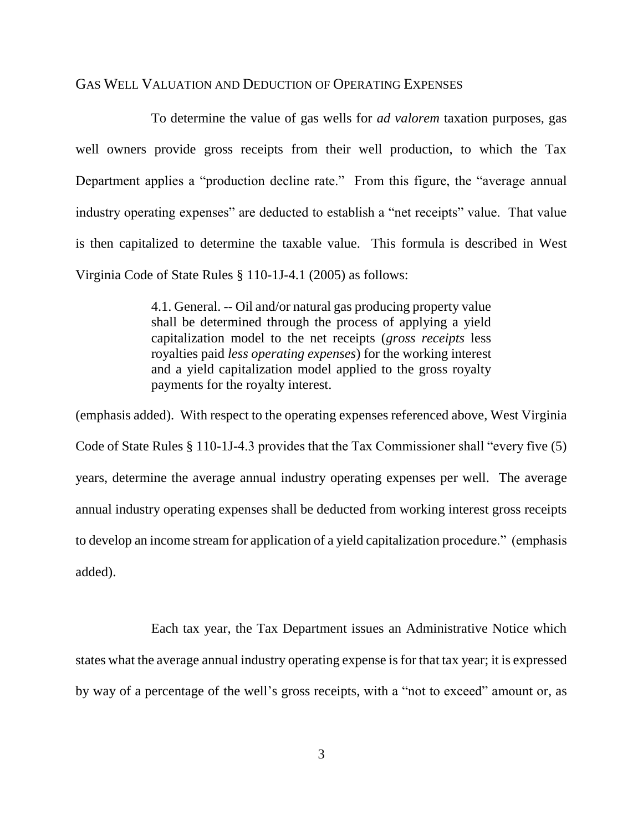#### GAS WELL VALUATION AND DEDUCTION OF OPERATING EXPENSES

To determine the value of gas wells for *ad valorem* taxation purposes, gas well owners provide gross receipts from their well production, to which the Tax Department applies a "production decline rate." From this figure, the "average annual industry operating expenses" are deducted to establish a "net receipts" value. That value is then capitalized to determine the taxable value. This formula is described in West Virginia Code of State Rules § 110-1J-4.1 (2005) as follows:

> 4.1. General. -- Oil and/or natural gas producing property value shall be determined through the process of applying a yield capitalization model to the net receipts (*gross receipts* less royalties paid *less operating expenses*) for the working interest and a yield capitalization model applied to the gross royalty payments for the royalty interest.

(emphasis added). With respect to the operating expenses referenced above, West Virginia Code of State Rules § 110-1J-4.3 provides that the Tax Commissioner shall "every five (5) years, determine the average annual industry operating expenses per well. The average annual industry operating expenses shall be deducted from working interest gross receipts to develop an income stream for application of a yield capitalization procedure." (emphasis added).

Each tax year, the Tax Department issues an Administrative Notice which states what the average annual industry operating expense is for that tax year; it is expressed by way of a percentage of the well's gross receipts, with a "not to exceed" amount or, as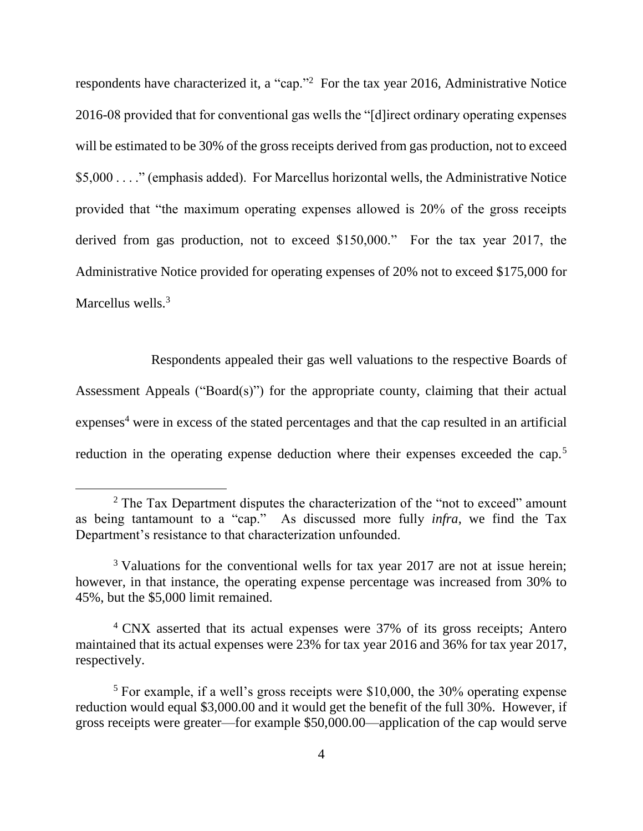respondents have characterized it, a "cap."<sup>2</sup> For the tax year 2016, Administrative Notice 2016-08 provided that for conventional gas wells the "[d]irect ordinary operating expenses will be estimated to be 30% of the gross receipts derived from gas production, not to exceed \$5,000 . . . ." (emphasis added). For Marcellus horizontal wells, the Administrative Notice provided that "the maximum operating expenses allowed is 20% of the gross receipts derived from gas production, not to exceed \$150,000." For the tax year 2017, the Administrative Notice provided for operating expenses of 20% not to exceed \$175,000 for Marcellus wells.<sup>3</sup>

Respondents appealed their gas well valuations to the respective Boards of Assessment Appeals ("Board(s)") for the appropriate county, claiming that their actual  $expenses<sup>4</sup>$  were in excess of the stated percentages and that the cap resulted in an artificial reduction in the operating expense deduction where their expenses exceeded the cap.<sup>5</sup>

 $2$  The Tax Department disputes the characterization of the "not to exceed" amount as being tantamount to a "cap." As discussed more fully *infra*, we find the Tax Department's resistance to that characterization unfounded.

<sup>&</sup>lt;sup>3</sup> Valuations for the conventional wells for tax year 2017 are not at issue herein; however, in that instance, the operating expense percentage was increased from 30% to 45%, but the \$5,000 limit remained.

<sup>4</sup> CNX asserted that its actual expenses were 37% of its gross receipts; Antero maintained that its actual expenses were 23% for tax year 2016 and 36% for tax year 2017, respectively.

<sup>5</sup> For example, if a well's gross receipts were \$10,000, the 30% operating expense reduction would equal \$3,000.00 and it would get the benefit of the full 30%. However, if gross receipts were greater—for example \$50,000.00—application of the cap would serve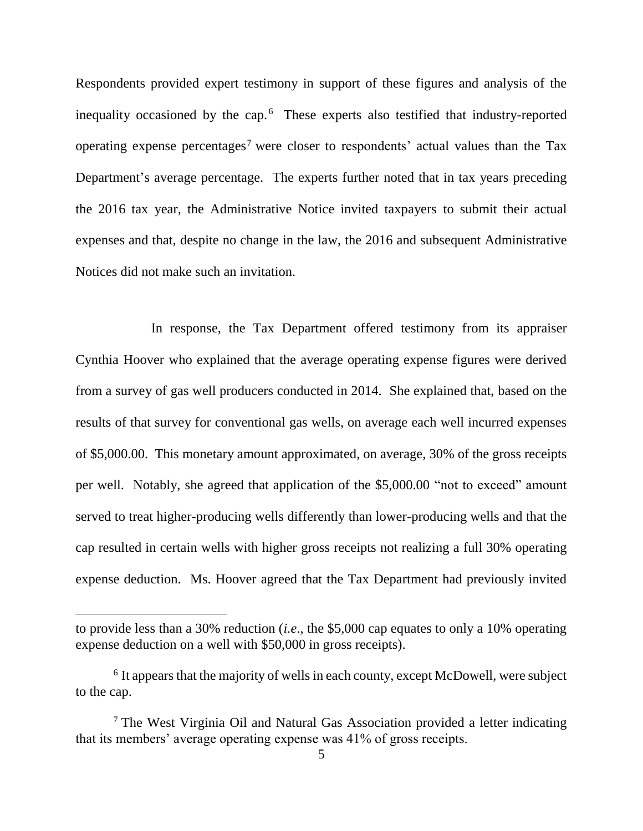Respondents provided expert testimony in support of these figures and analysis of the inequality occasioned by the cap. $6$  These experts also testified that industry-reported operating expense percentages<sup>7</sup> were closer to respondents' actual values than the Tax Department's average percentage. The experts further noted that in tax years preceding the 2016 tax year, the Administrative Notice invited taxpayers to submit their actual expenses and that, despite no change in the law, the 2016 and subsequent Administrative Notices did not make such an invitation.

In response, the Tax Department offered testimony from its appraiser Cynthia Hoover who explained that the average operating expense figures were derived from a survey of gas well producers conducted in 2014. She explained that, based on the results of that survey for conventional gas wells, on average each well incurred expenses of \$5,000.00. This monetary amount approximated, on average, 30% of the gross receipts per well. Notably, she agreed that application of the \$5,000.00 "not to exceed" amount served to treat higher-producing wells differently than lower-producing wells and that the cap resulted in certain wells with higher gross receipts not realizing a full 30% operating expense deduction. Ms. Hoover agreed that the Tax Department had previously invited

to provide less than a 30% reduction (*i.e*., the \$5,000 cap equates to only a 10% operating expense deduction on a well with \$50,000 in gross receipts).

<sup>&</sup>lt;sup>6</sup> It appears that the majority of wells in each county, except McDowell, were subject to the cap.

 $<sup>7</sup>$  The West Virginia Oil and Natural Gas Association provided a letter indicating</sup> that its members' average operating expense was 41% of gross receipts.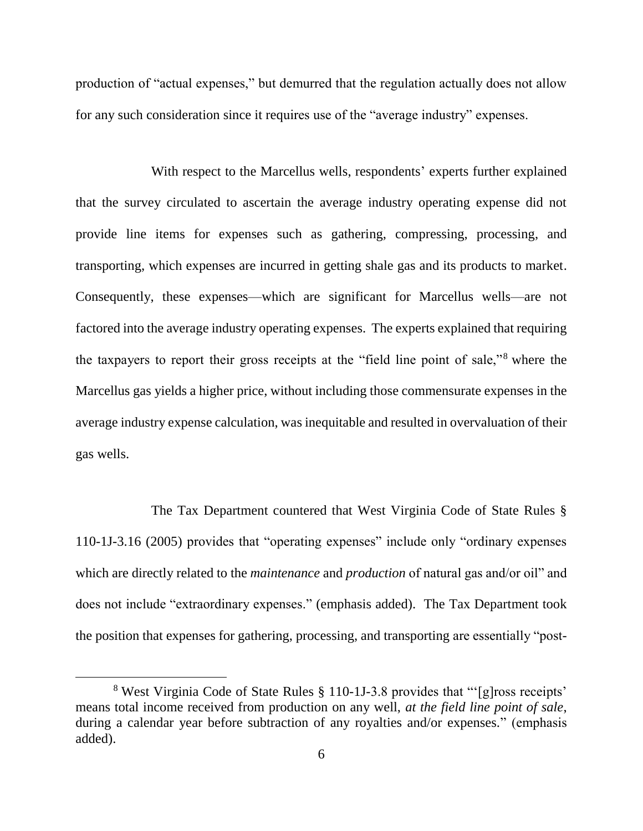production of "actual expenses," but demurred that the regulation actually does not allow for any such consideration since it requires use of the "average industry" expenses.

With respect to the Marcellus wells, respondents' experts further explained that the survey circulated to ascertain the average industry operating expense did not provide line items for expenses such as gathering, compressing, processing, and transporting, which expenses are incurred in getting shale gas and its products to market. Consequently, these expenses—which are significant for Marcellus wells—are not factored into the average industry operating expenses. The experts explained that requiring the taxpayers to report their gross receipts at the "field line point of sale,"<sup>8</sup> where the Marcellus gas yields a higher price, without including those commensurate expenses in the average industry expense calculation, was inequitable and resulted in overvaluation of their gas wells.

The Tax Department countered that West Virginia Code of State Rules § 110-1J-3.16 (2005) provides that "operating expenses" include only "ordinary expenses which are directly related to the *maintenance* and *production* of natural gas and/or oil" and does not include "extraordinary expenses." (emphasis added). The Tax Department took the position that expenses for gathering, processing, and transporting are essentially "post-

 $\overline{a}$ 

<sup>8</sup> West Virginia Code of State Rules § 110-1J-3.8 provides that "'[g]ross receipts' means total income received from production on any well, *at the field line point of sale*, during a calendar year before subtraction of any royalties and/or expenses." (emphasis added).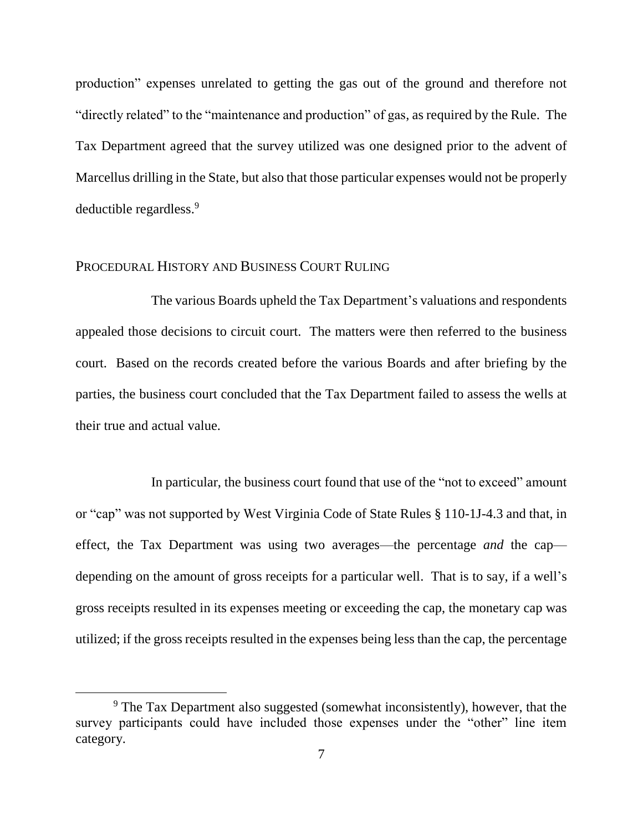production" expenses unrelated to getting the gas out of the ground and therefore not "directly related" to the "maintenance and production" of gas, as required by the Rule. The Tax Department agreed that the survey utilized was one designed prior to the advent of Marcellus drilling in the State, but also that those particular expenses would not be properly deductible regardless.<sup>9</sup>

## PROCEDURAL HISTORY AND BUSINESS COURT RULING

 $\overline{a}$ 

The various Boards upheld the Tax Department's valuations and respondents appealed those decisions to circuit court. The matters were then referred to the business court. Based on the records created before the various Boards and after briefing by the parties, the business court concluded that the Tax Department failed to assess the wells at their true and actual value.

In particular, the business court found that use of the "not to exceed" amount or "cap" was not supported by West Virginia Code of State Rules § 110-1J-4.3 and that, in effect, the Tax Department was using two averages—the percentage *and* the cap depending on the amount of gross receipts for a particular well. That is to say, if a well's gross receipts resulted in its expenses meeting or exceeding the cap, the monetary cap was utilized; if the gross receipts resulted in the expenses being less than the cap, the percentage

<sup>&</sup>lt;sup>9</sup> The Tax Department also suggested (somewhat inconsistently), however, that the survey participants could have included those expenses under the "other" line item category.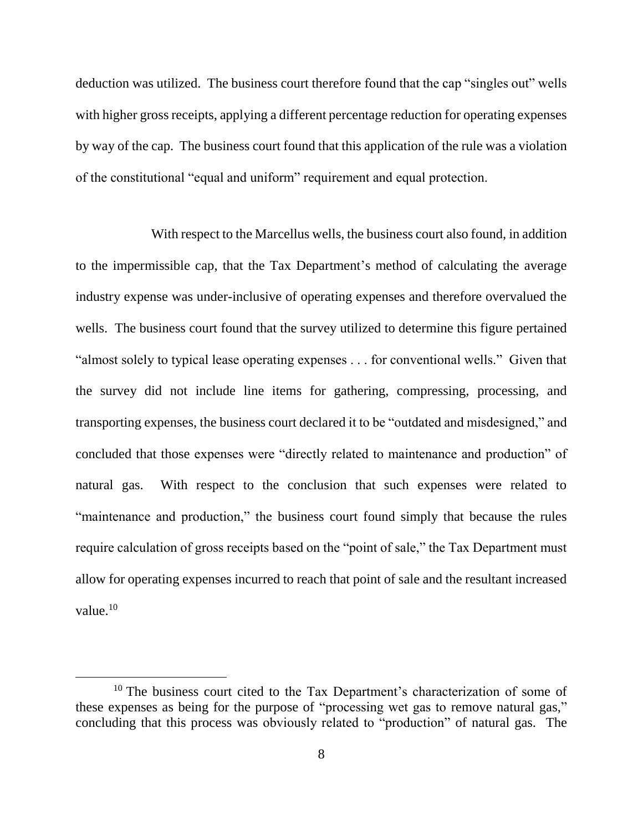deduction was utilized. The business court therefore found that the cap "singles out" wells with higher gross receipts, applying a different percentage reduction for operating expenses by way of the cap. The business court found that this application of the rule was a violation of the constitutional "equal and uniform" requirement and equal protection.

With respect to the Marcellus wells, the business court also found, in addition to the impermissible cap, that the Tax Department's method of calculating the average industry expense was under-inclusive of operating expenses and therefore overvalued the wells. The business court found that the survey utilized to determine this figure pertained "almost solely to typical lease operating expenses . . . for conventional wells." Given that the survey did not include line items for gathering, compressing, processing, and transporting expenses, the business court declared it to be "outdated and misdesigned," and concluded that those expenses were "directly related to maintenance and production" of natural gas. With respect to the conclusion that such expenses were related to "maintenance and production," the business court found simply that because the rules require calculation of gross receipts based on the "point of sale," the Tax Department must allow for operating expenses incurred to reach that point of sale and the resultant increased value. $10$ 

 $\overline{a}$ 

 $10$  The business court cited to the Tax Department's characterization of some of these expenses as being for the purpose of "processing wet gas to remove natural gas," concluding that this process was obviously related to "production" of natural gas. The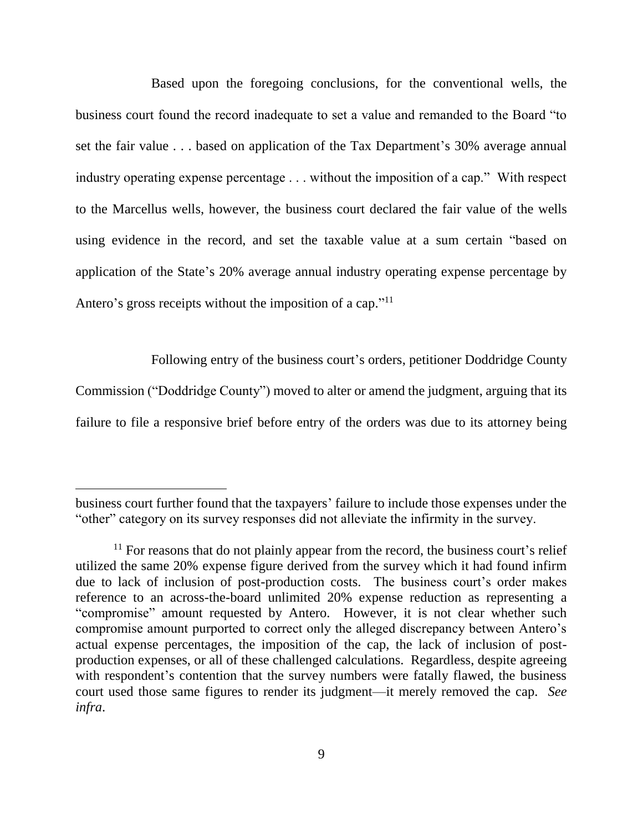Based upon the foregoing conclusions, for the conventional wells, the business court found the record inadequate to set a value and remanded to the Board "to set the fair value . . . based on application of the Tax Department's 30% average annual industry operating expense percentage . . . without the imposition of a cap." With respect to the Marcellus wells, however, the business court declared the fair value of the wells using evidence in the record, and set the taxable value at a sum certain "based on application of the State's 20% average annual industry operating expense percentage by Antero's gross receipts without the imposition of a cap."<sup>11</sup>

Following entry of the business court's orders, petitioner Doddridge County

Commission ("Doddridge County") moved to alter or amend the judgment, arguing that its failure to file a responsive brief before entry of the orders was due to its attorney being

business court further found that the taxpayers' failure to include those expenses under the "other" category on its survey responses did not alleviate the infirmity in the survey.

 $11$  For reasons that do not plainly appear from the record, the business court's relief utilized the same 20% expense figure derived from the survey which it had found infirm due to lack of inclusion of post-production costs.The business court's order makes reference to an across-the-board unlimited 20% expense reduction as representing a "compromise" amount requested by Antero. However, it is not clear whether such compromise amount purported to correct only the alleged discrepancy between Antero's actual expense percentages, the imposition of the cap, the lack of inclusion of postproduction expenses, or all of these challenged calculations. Regardless, despite agreeing with respondent's contention that the survey numbers were fatally flawed, the business court used those same figures to render its judgment—it merely removed the cap. *See infra*.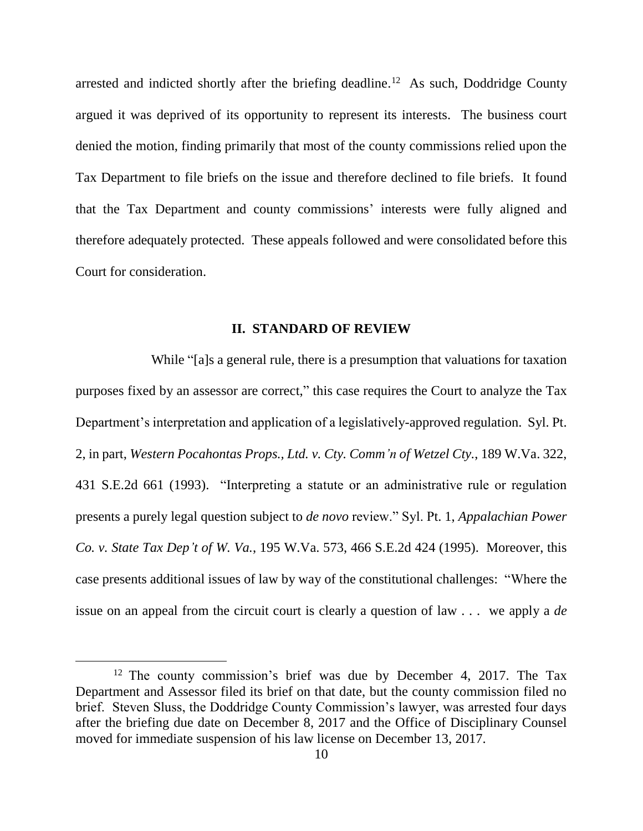arrested and indicted shortly after the briefing deadline.<sup>12</sup> As such, Doddridge County argued it was deprived of its opportunity to represent its interests. The business court denied the motion, finding primarily that most of the county commissions relied upon the Tax Department to file briefs on the issue and therefore declined to file briefs. It found that the Tax Department and county commissions' interests were fully aligned and therefore adequately protected. These appeals followed and were consolidated before this Court for consideration.

#### **II. STANDARD OF REVIEW**

While "[a]s a general rule, there is a presumption that valuations for taxation purposes fixed by an assessor are correct," this case requires the Court to analyze the Tax Department's interpretation and application of a legislatively-approved regulation. Syl. Pt. 2, in part, *Western Pocahontas Props., Ltd. v. Cty. Comm'n of Wetzel Cty.*, 189 W.Va. 322, 431 S.E.2d 661 (1993). "Interpreting a statute or an administrative rule or regulation presents a purely legal question subject to *de novo* review." Syl. Pt. 1, *Appalachian Power Co. v. State Tax Dep't of W. Va.*, 195 W.Va. 573, 466 S.E.2d 424 (1995). Moreover, this case presents additional issues of law by way of the constitutional challenges: "Where the issue on an appeal from the circuit court is clearly a question of law . . . we apply a *de* 

 $\overline{a}$ 

<sup>&</sup>lt;sup>12</sup> The county commission's brief was due by December 4, 2017. The Tax Department and Assessor filed its brief on that date, but the county commission filed no brief. Steven Sluss, the Doddridge County Commission's lawyer, was arrested four days after the briefing due date on December 8, 2017 and the Office of Disciplinary Counsel moved for immediate suspension of his law license on December 13, 2017.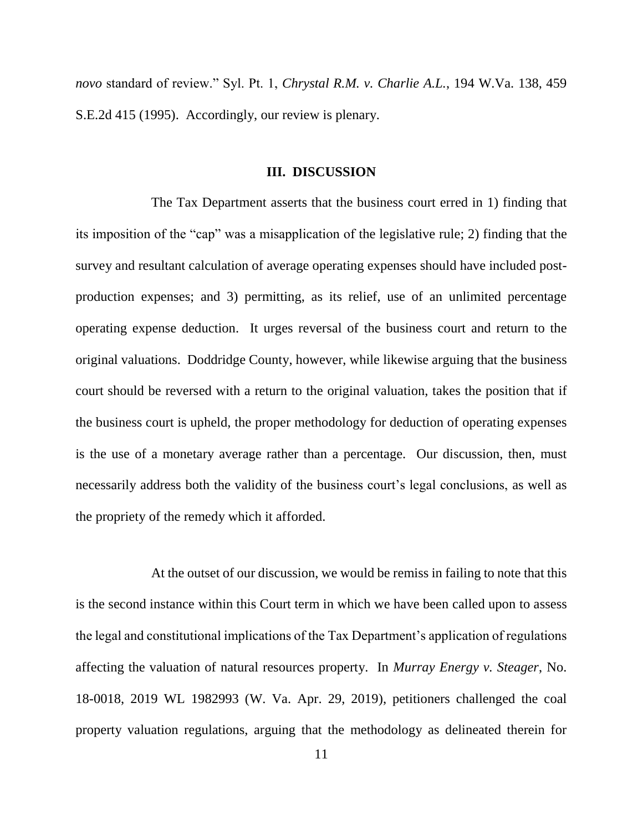*novo* standard of review." Syl. Pt. 1, *Chrystal R.M. v. Charlie A.L.*, 194 W.Va. 138, 459 S.E.2d 415 (1995). Accordingly, our review is plenary.

#### **III. DISCUSSION**

The Tax Department asserts that the business court erred in 1) finding that its imposition of the "cap" was a misapplication of the legislative rule; 2) finding that the survey and resultant calculation of average operating expenses should have included postproduction expenses; and 3) permitting, as its relief, use of an unlimited percentage operating expense deduction. It urges reversal of the business court and return to the original valuations. Doddridge County, however, while likewise arguing that the business court should be reversed with a return to the original valuation, takes the position that if the business court is upheld, the proper methodology for deduction of operating expenses is the use of a monetary average rather than a percentage. Our discussion, then, must necessarily address both the validity of the business court's legal conclusions, as well as the propriety of the remedy which it afforded.

At the outset of our discussion, we would be remiss in failing to note that this is the second instance within this Court term in which we have been called upon to assess the legal and constitutional implications of the Tax Department's application of regulations affecting the valuation of natural resources property. In *Murray Energy v. Steager*, No. 18-0018, 2019 WL 1982993 (W. Va. Apr. 29, 2019), petitioners challenged the coal property valuation regulations, arguing that the methodology as delineated therein for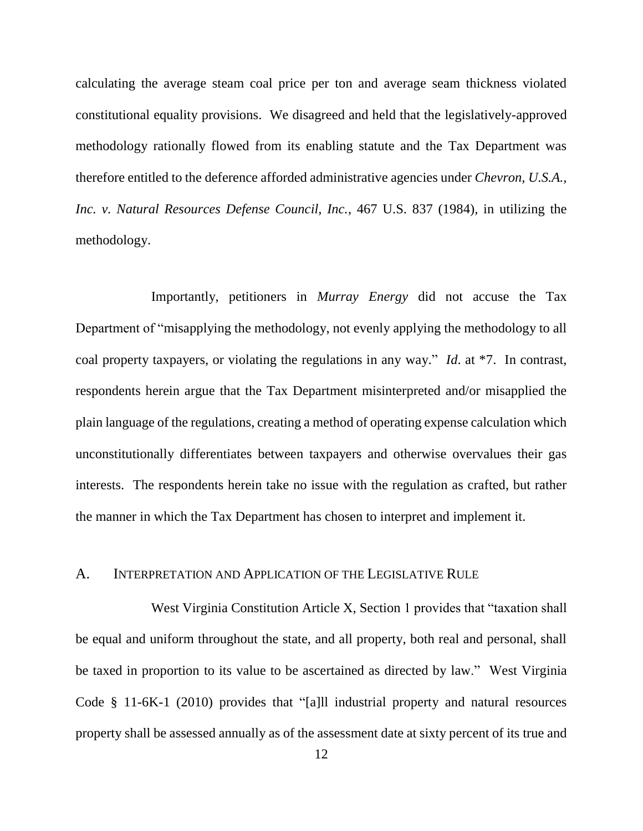calculating the average steam coal price per ton and average seam thickness violated constitutional equality provisions. We disagreed and held that the legislatively-approved methodology rationally flowed from its enabling statute and the Tax Department was therefore entitled to the deference afforded administrative agencies under *Chevron, U.S.A., Inc. v. Natural Resources Defense Council, Inc.*, 467 U.S. 837 (1984), in utilizing the methodology.

Importantly, petitioners in *Murray Energy* did not accuse the Tax Department of "misapplying the methodology, not evenly applying the methodology to all coal property taxpayers, or violating the regulations in any way." *Id*. at \*7. In contrast, respondents herein argue that the Tax Department misinterpreted and/or misapplied the plain language of the regulations, creating a method of operating expense calculation which unconstitutionally differentiates between taxpayers and otherwise overvalues their gas interests. The respondents herein take no issue with the regulation as crafted, but rather the manner in which the Tax Department has chosen to interpret and implement it.

## A. INTERPRETATION AND APPLICATION OF THE LEGISLATIVE RULE

West Virginia Constitution Article X, Section 1 provides that "taxation shall be equal and uniform throughout the state, and all property, both real and personal, shall be taxed in proportion to its value to be ascertained as directed by law." West Virginia Code § 11-6K-1 (2010) provides that "[a]ll industrial property and natural resources property shall be assessed annually as of the assessment date at sixty percent of its true and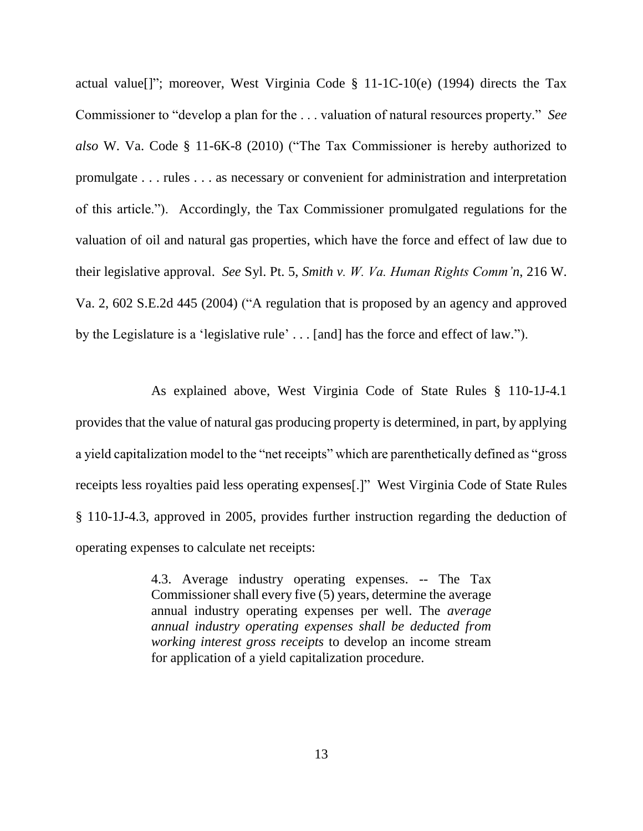actual value[]"; moreover, West Virginia Code § 11-1C-10(e) (1994) directs the Tax Commissioner to "develop a plan for the . . . valuation of natural resources property." *See also* W. Va. Code § 11-6K-8 (2010) ("The Tax Commissioner is hereby authorized to promulgate . . . rules . . . as necessary or convenient for administration and interpretation of this article."). Accordingly, the Tax Commissioner promulgated regulations for the valuation of oil and natural gas properties, which have the force and effect of law due to their legislative approval. *See* Syl. Pt. 5, *Smith v. W. Va. Human Rights Comm'n*, 216 W. Va. 2, 602 S.E.2d 445 (2004) ("A regulation that is proposed by an agency and approved by the Legislature is a 'legislative rule' . . . [and] has the force and effect of law.").

As explained above, West Virginia Code of State Rules § 110-1J-4.1 provides that the value of natural gas producing property is determined, in part, by applying a yield capitalization model to the "net receipts" which are parenthetically defined as "gross receipts less royalties paid less operating expenses[.]" West Virginia Code of State Rules § 110-1J-4.3, approved in 2005, provides further instruction regarding the deduction of operating expenses to calculate net receipts:

> 4.3. Average industry operating expenses. -- The Tax Commissioner shall every five (5) years, determine the average annual industry operating expenses per well. The *average annual industry operating expenses shall be deducted from working interest gross receipts* to develop an income stream for application of a yield capitalization procedure.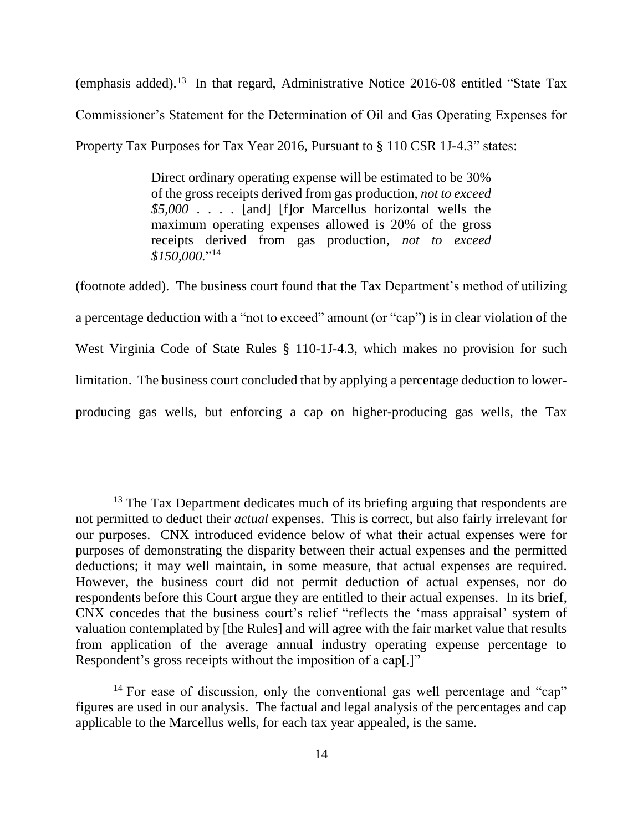(emphasis added). 13 In that regard, Administrative Notice 2016-08 entitled "State Tax Commissioner's Statement for the Determination of Oil and Gas Operating Expenses for Property Tax Purposes for Tax Year 2016, Pursuant to § 110 CSR 1J-4.3" states:

> Direct ordinary operating expense will be estimated to be 30% of the gross receipts derived from gas production, *not to exceed \$5,000* . . . . [and] [f]or Marcellus horizontal wells the maximum operating expenses allowed is 20% of the gross receipts derived from gas production, *not to exceed \$150,000.*" 14

(footnote added). The business court found that the Tax Department's method of utilizing a percentage deduction with a "not to exceed" amount (or "cap") is in clear violation of the West Virginia Code of State Rules § 110-1J-4.3, which makes no provision for such limitation. The business court concluded that by applying a percentage deduction to lowerproducing gas wells, but enforcing a cap on higher-producing gas wells, the Tax

<sup>&</sup>lt;sup>13</sup> The Tax Department dedicates much of its briefing arguing that respondents are not permitted to deduct their *actual* expenses. This is correct, but also fairly irrelevant for our purposes. CNX introduced evidence below of what their actual expenses were for purposes of demonstrating the disparity between their actual expenses and the permitted deductions; it may well maintain, in some measure, that actual expenses are required. However, the business court did not permit deduction of actual expenses, nor do respondents before this Court argue they are entitled to their actual expenses. In its brief, CNX concedes that the business court's relief "reflects the 'mass appraisal' system of valuation contemplated by [the Rules] and will agree with the fair market value that results from application of the average annual industry operating expense percentage to Respondent's gross receipts without the imposition of a cap[.]"

<sup>&</sup>lt;sup>14</sup> For ease of discussion, only the conventional gas well percentage and "cap" figures are used in our analysis. The factual and legal analysis of the percentages and cap applicable to the Marcellus wells, for each tax year appealed, is the same.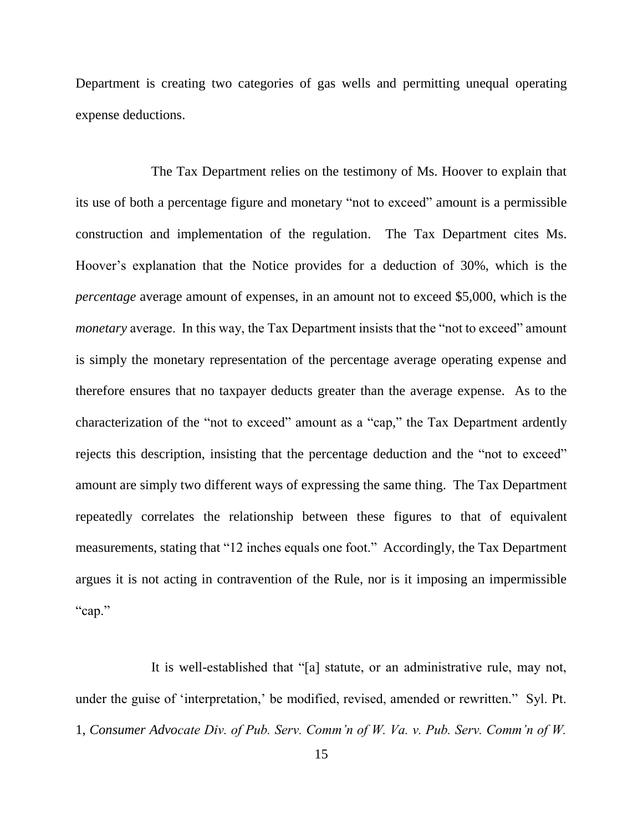Department is creating two categories of gas wells and permitting unequal operating expense deductions.

The Tax Department relies on the testimony of Ms. Hoover to explain that its use of both a percentage figure and monetary "not to exceed" amount is a permissible construction and implementation of the regulation. The Tax Department cites Ms. Hoover's explanation that the Notice provides for a deduction of 30%, which is the *percentage* average amount of expenses, in an amount not to exceed \$5,000, which is the *monetary* average. In this way, the Tax Department insists that the "not to exceed" amount is simply the monetary representation of the percentage average operating expense and therefore ensures that no taxpayer deducts greater than the average expense. As to the characterization of the "not to exceed" amount as a "cap," the Tax Department ardently rejects this description, insisting that the percentage deduction and the "not to exceed" amount are simply two different ways of expressing the same thing. The Tax Department repeatedly correlates the relationship between these figures to that of equivalent measurements, stating that "12 inches equals one foot." Accordingly, the Tax Department argues it is not acting in contravention of the Rule, nor is it imposing an impermissible "cap."

It is well-established that "[a] statute, or an administrative rule, may not, under the guise of 'interpretation,' be modified, revised, amended or rewritten." Syl. Pt. 1, *Consumer Advocate Div. of Pub. Serv. Comm'n of W. Va. v. Pub. Serv. Comm'n of W.*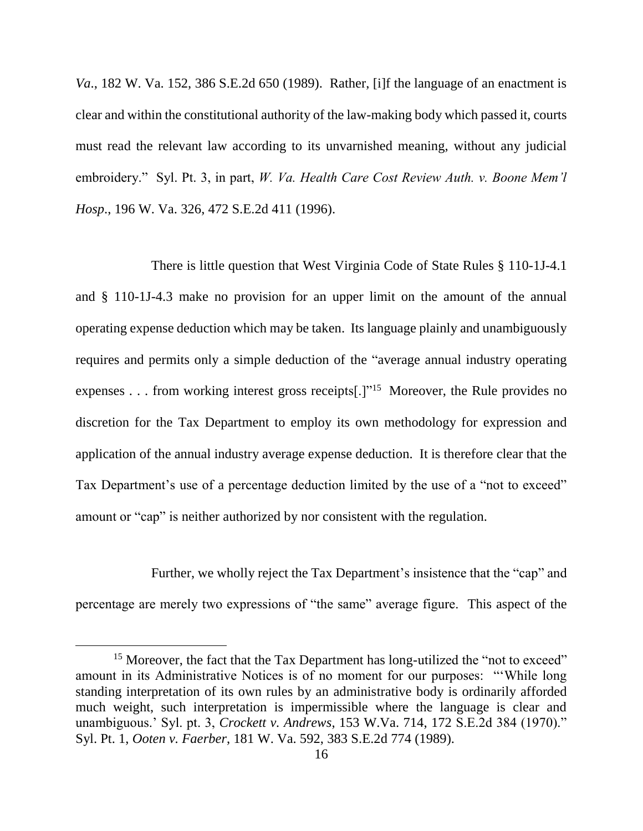*Va*., 182 W. Va. 152, 386 S.E.2d 650 (1989). Rather, [i]f the language of an enactment is clear and within the constitutional authority of the law-making body which passed it, courts must read the relevant law according to its unvarnished meaning, without any judicial embroidery." Syl. Pt. 3, in part, *W. Va. Health Care Cost Review Auth. v. Boone Mem'l Hosp*., 196 W. Va. 326, 472 S.E.2d 411 (1996).

There is little question that West Virginia Code of State Rules § 110-1J-4.1 and § 110-1J-4.3 make no provision for an upper limit on the amount of the annual operating expense deduction which may be taken. Its language plainly and unambiguously requires and permits only a simple deduction of the "average annual industry operating expenses . . . from working interest gross receipts[.]"<sup>15</sup> Moreover, the Rule provides no discretion for the Tax Department to employ its own methodology for expression and application of the annual industry average expense deduction. It is therefore clear that the Tax Department's use of a percentage deduction limited by the use of a "not to exceed" amount or "cap" is neither authorized by nor consistent with the regulation.

Further, we wholly reject the Tax Department's insistence that the "cap" and percentage are merely two expressions of "the same" average figure. This aspect of the

 $\overline{a}$ 

<sup>&</sup>lt;sup>15</sup> Moreover, the fact that the Tax Department has long-utilized the "not to exceed" amount in its Administrative Notices is of no moment for our purposes: "'While long standing interpretation of its own rules by an administrative body is ordinarily afforded much weight, such interpretation is impermissible where the language is clear and unambiguous.' Syl. pt. 3, *Crockett v. Andrews*, 153 W.Va. 714, 172 S.E.2d 384 (1970)." Syl. Pt. 1, *Ooten v. Faerber*, 181 W. Va. 592, 383 S.E.2d 774 (1989).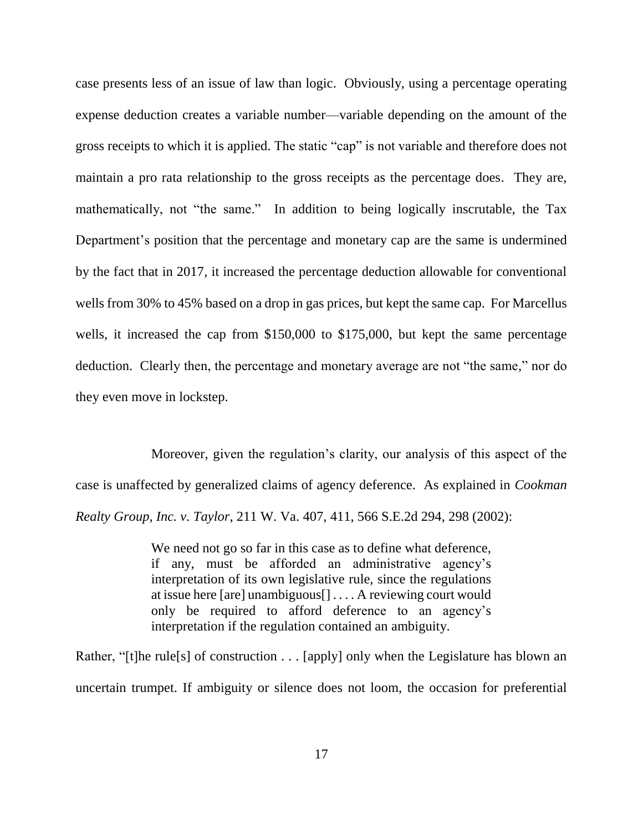case presents less of an issue of law than logic. Obviously, using a percentage operating expense deduction creates a variable number—variable depending on the amount of the gross receipts to which it is applied. The static "cap" is not variable and therefore does not maintain a pro rata relationship to the gross receipts as the percentage does. They are, mathematically, not "the same." In addition to being logically inscrutable, the Tax Department's position that the percentage and monetary cap are the same is undermined by the fact that in 2017, it increased the percentage deduction allowable for conventional wells from 30% to 45% based on a drop in gas prices, but kept the same cap. For Marcellus wells, it increased the cap from \$150,000 to \$175,000, but kept the same percentage deduction. Clearly then, the percentage and monetary average are not "the same," nor do they even move in lockstep.

Moreover, given the regulation's clarity, our analysis of this aspect of the case is unaffected by generalized claims of agency deference. As explained in *Cookman Realty Group, Inc. v. Taylor*, 211 W. Va. 407, 411, 566 S.E.2d 294, 298 (2002):

> We need not go so far in this case as to define what deference, if any, must be afforded an administrative agency's interpretation of its own legislative rule, since the regulations at issue here [are] unambiguous[] . . . . A reviewing court would only be required to afford deference to an agency's interpretation if the regulation contained an ambiguity.

Rather, "[t]he rule[s] of construction . . . [apply] only when the Legislature has blown an uncertain trumpet. If ambiguity or silence does not loom, the occasion for preferential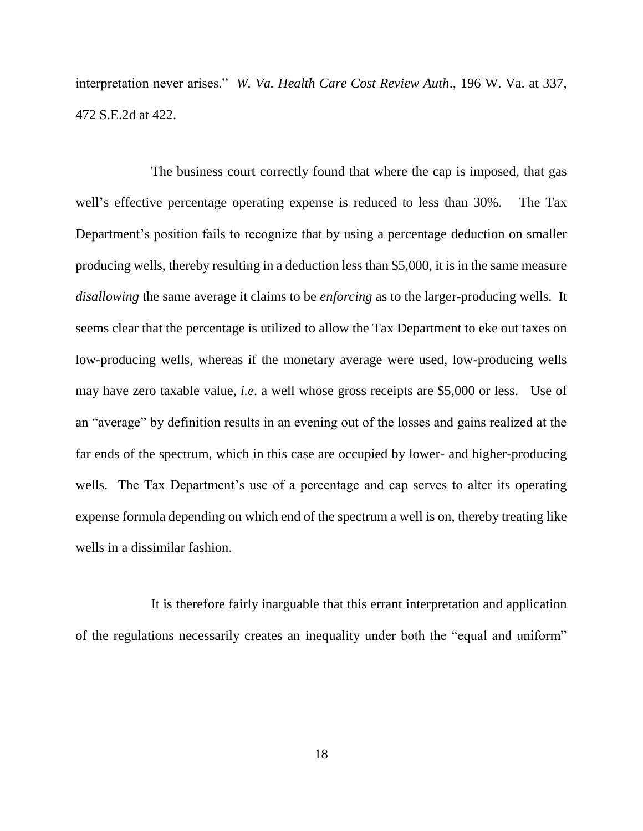interpretation never arises." *W. Va. Health Care Cost Review Auth*., 196 W. Va. at 337, 472 S.E.2d at 422.

The business court correctly found that where the cap is imposed, that gas well's effective percentage operating expense is reduced to less than 30%. The Tax Department's position fails to recognize that by using a percentage deduction on smaller producing wells, thereby resulting in a deduction less than \$5,000, it is in the same measure *disallowing* the same average it claims to be *enforcing* as to the larger-producing wells. It seems clear that the percentage is utilized to allow the Tax Department to eke out taxes on low-producing wells, whereas if the monetary average were used, low-producing wells may have zero taxable value, *i.e*. a well whose gross receipts are \$5,000 or less. Use of an "average" by definition results in an evening out of the losses and gains realized at the far ends of the spectrum, which in this case are occupied by lower- and higher-producing wells. The Tax Department's use of a percentage and cap serves to alter its operating expense formula depending on which end of the spectrum a well is on, thereby treating like wells in a dissimilar fashion.

It is therefore fairly inarguable that this errant interpretation and application of the regulations necessarily creates an inequality under both the "equal and uniform"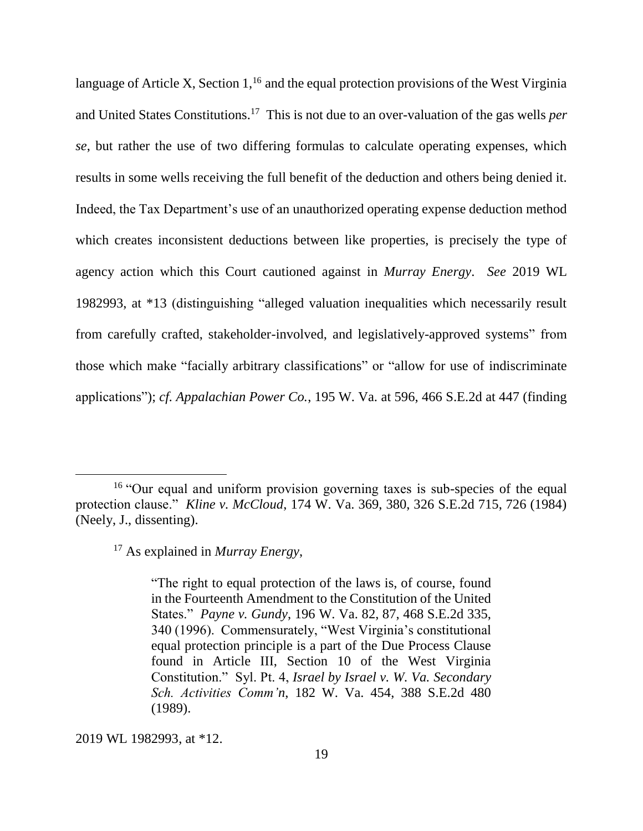language of Article X, Section  $1<sup>16</sup>$  and the equal protection provisions of the West Virginia and United States Constitutions. 17 This is not due to an over-valuation of the gas wells *per se*, but rather the use of two differing formulas to calculate operating expenses, which results in some wells receiving the full benefit of the deduction and others being denied it. Indeed, the Tax Department's use of an unauthorized operating expense deduction method which creates inconsistent deductions between like properties, is precisely the type of agency action which this Court cautioned against in *Murray Energy*. *See* 2019 WL 1982993, at \*13 (distinguishing "alleged valuation inequalities which necessarily result from carefully crafted, stakeholder-involved, and legislatively-approved systems" from those which make "facially arbitrary classifications" or "allow for use of indiscriminate applications"); *cf. Appalachian Power Co.*, 195 W. Va. at 596, 466 S.E.2d at 447 (finding

2019 WL 1982993, at \*12.

<sup>&</sup>lt;sup>16</sup> "Our equal and uniform provision governing taxes is sub-species of the equal protection clause." *Kline v. McCloud*, 174 W. Va. 369, 380, 326 S.E.2d 715, 726 (1984) (Neely, J., dissenting).

<sup>17</sup> As explained in *Murray Energy*,

<sup>&</sup>quot;The right to equal protection of the laws is, of course, found in the Fourteenth Amendment to the Constitution of the United States." *Payne v. Gundy*, 196 W. Va. 82, 87, 468 S.E.2d 335, 340 (1996). Commensurately, "West Virginia's constitutional equal protection principle is a part of the Due Process Clause found in Article III, Section 10 of the West Virginia Constitution." Syl. Pt. 4, *Israel by Israel v. W. Va. Secondary Sch. Activities Comm'n*, 182 W. Va. 454, 388 S.E.2d 480 (1989).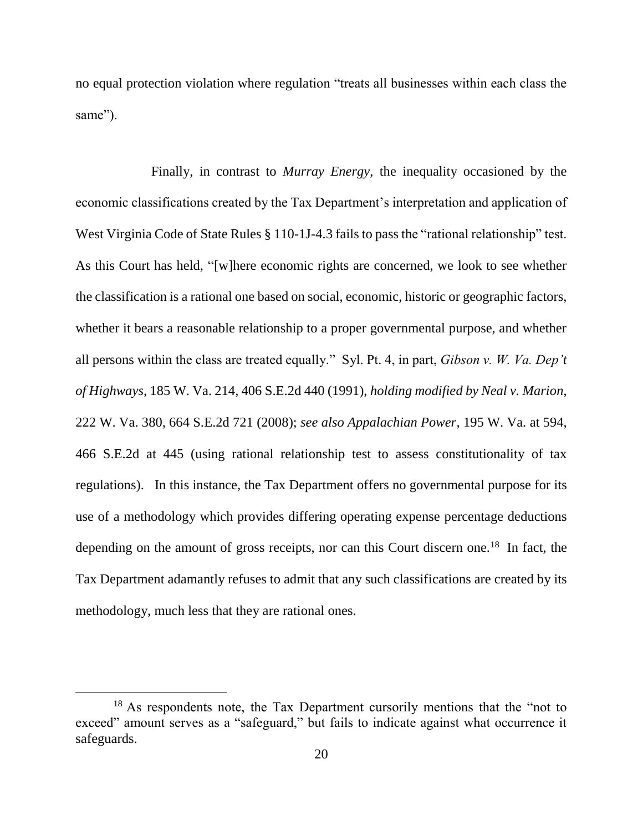no equal protection violation where regulation "treats all businesses within each class the same").

Finally, in contrast to *Murray Energy*, the inequality occasioned by the economic classifications created by the Tax Department's interpretation and application of West Virginia Code of State Rules § 110-1J-4.3 fails to pass the "rational relationship" test. As this Court has held, "[w]here economic rights are concerned, we look to see whether the classification is a rational one based on social, economic, historic or geographic factors, whether it bears a reasonable relationship to a proper governmental purpose, and whether all persons within the class are treated equally." Syl. Pt. 4, in part, *Gibson v. W. Va. Dep't of Highways*, 185 W. Va. 214, 406 S.E.2d 440 (1991), *holding modified by Neal v. Marion*, 222 W. Va. 380, 664 S.E.2d 721 (2008); *see also Appalachian Power,* 195 W. Va. at 594, 466 S.E.2d at 445 (using rational relationship test to assess constitutionality of tax regulations). In this instance, the Tax Department offers no governmental purpose for its use of a methodology which provides differing operating expense percentage deductions depending on the amount of gross receipts, nor can this Court discern one.<sup>18</sup> In fact, the Tax Department adamantly refuses to admit that any such classifications are created by its methodology, much less that they are rational ones.

 $\overline{a}$ 

<sup>&</sup>lt;sup>18</sup> As respondents note, the Tax Department cursorily mentions that the "not to exceed" amount serves as a "safeguard," but fails to indicate against what occurrence it safeguards.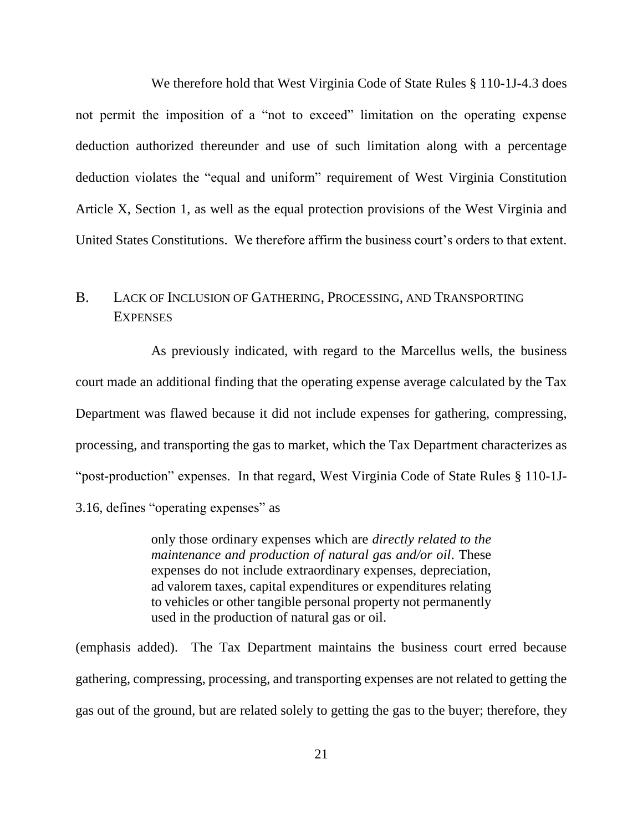We therefore hold that West Virginia Code of State Rules § 110-1J-4.3 does not permit the imposition of a "not to exceed" limitation on the operating expense deduction authorized thereunder and use of such limitation along with a percentage deduction violates the "equal and uniform" requirement of West Virginia Constitution Article X, Section 1, as well as the equal protection provisions of the West Virginia and United States Constitutions. We therefore affirm the business court's orders to that extent.

# B. LACK OF INCLUSION OF GATHERING, PROCESSING, AND TRANSPORTING **EXPENSES**

As previously indicated, with regard to the Marcellus wells, the business court made an additional finding that the operating expense average calculated by the Tax Department was flawed because it did not include expenses for gathering, compressing, processing, and transporting the gas to market, which the Tax Department characterizes as "post-production" expenses. In that regard, West Virginia Code of State Rules § 110-1J-3.16, defines "operating expenses" as

> only those ordinary expenses which are *directly related to the maintenance and production of natural gas and/or oil*. These expenses do not include extraordinary expenses, depreciation, ad valorem taxes, capital expenditures or expenditures relating to vehicles or other tangible personal property not permanently used in the production of natural gas or oil.

(emphasis added). The Tax Department maintains the business court erred because gathering, compressing, processing, and transporting expenses are not related to getting the gas out of the ground, but are related solely to getting the gas to the buyer; therefore, they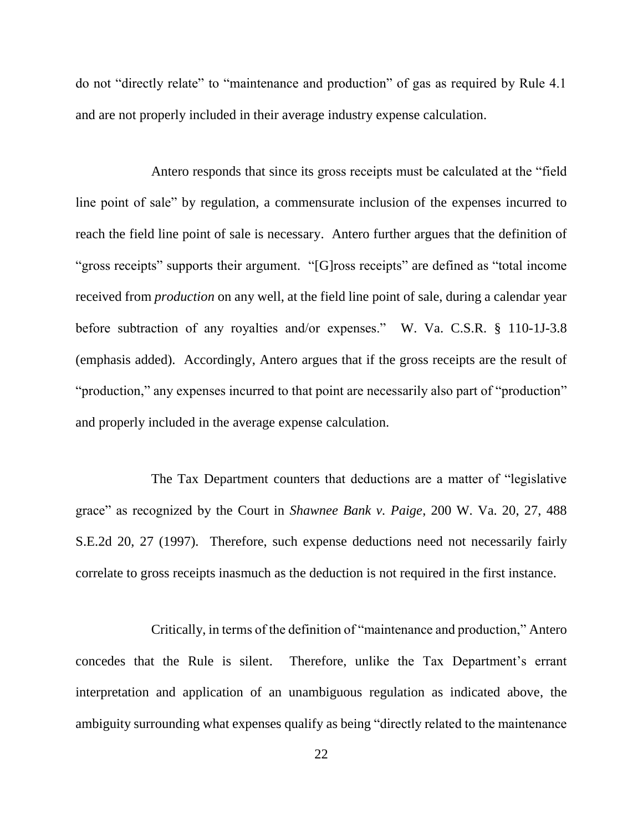do not "directly relate" to "maintenance and production" of gas as required by Rule 4.1 and are not properly included in their average industry expense calculation.

Antero responds that since its gross receipts must be calculated at the "field line point of sale" by regulation, a commensurate inclusion of the expenses incurred to reach the field line point of sale is necessary. Antero further argues that the definition of "gross receipts" supports their argument. "[G]ross receipts" are defined as "total income received from *production* on any well, at the field line point of sale, during a calendar year before subtraction of any royalties and/or expenses." W. Va. C.S.R. § 110-1J-3.8 (emphasis added). Accordingly, Antero argues that if the gross receipts are the result of "production," any expenses incurred to that point are necessarily also part of "production" and properly included in the average expense calculation.

The Tax Department counters that deductions are a matter of "legislative grace" as recognized by the Court in *Shawnee Bank v. Paige*, 200 W. Va. 20, 27, 488 S.E.2d 20, 27 (1997). Therefore, such expense deductions need not necessarily fairly correlate to gross receipts inasmuch as the deduction is not required in the first instance.

Critically, in terms of the definition of "maintenance and production," Antero concedes that the Rule is silent. Therefore, unlike the Tax Department's errant interpretation and application of an unambiguous regulation as indicated above, the ambiguity surrounding what expenses qualify as being "directly related to the maintenance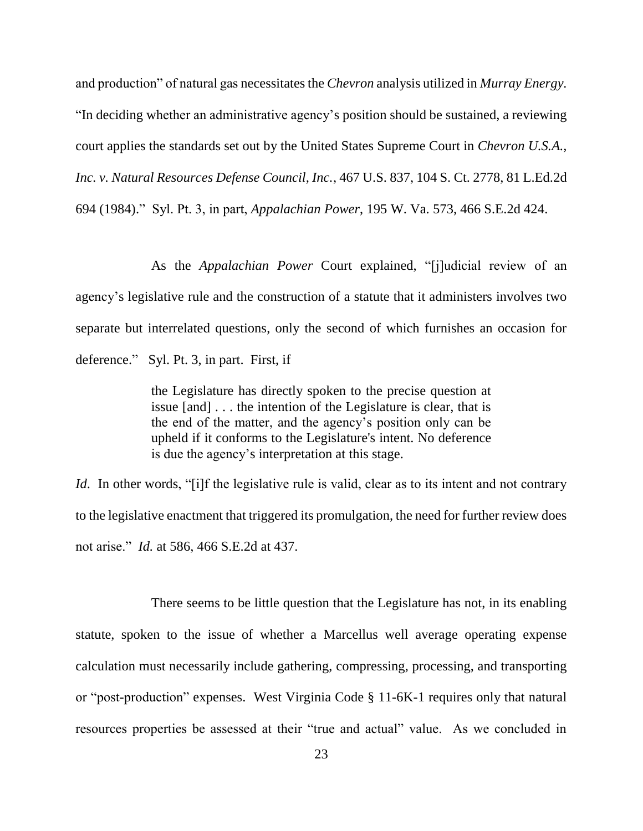and production" of natural gas necessitates the *Chevron* analysis utilized in *Murray Energy.* "In deciding whether an administrative agency's position should be sustained, a reviewing court applies the standards set out by the United States Supreme Court in *Chevron U.S.A., Inc. v. Natural Resources Defense Council, Inc.*, 467 U.S. 837, 104 S. Ct. 2778, 81 L.Ed.2d 694 (1984)." Syl. Pt. 3, in part, *Appalachian Power*, 195 W. Va. 573, 466 S.E.2d 424.

As the *Appalachian Power* Court explained, "[j]udicial review of an agency's legislative rule and the construction of a statute that it administers involves two separate but interrelated questions, only the second of which furnishes an occasion for deference." Syl. Pt. 3, in part. First, if

> the Legislature has directly spoken to the precise question at issue [and] . . . the intention of the Legislature is clear, that is the end of the matter, and the agency's position only can be upheld if it conforms to the Legislature's intent. No deference is due the agency's interpretation at this stage.

*Id.* In other words, "[i]f the legislative rule is valid, clear as to its intent and not contrary to the legislative enactment that triggered its promulgation, the need for further review does not arise." *Id.* at 586, 466 S.E.2d at 437.

There seems to be little question that the Legislature has not, in its enabling statute, spoken to the issue of whether a Marcellus well average operating expense calculation must necessarily include gathering, compressing, processing, and transporting or "post-production" expenses. West Virginia Code § 11-6K-1 requires only that natural resources properties be assessed at their "true and actual" value. As we concluded in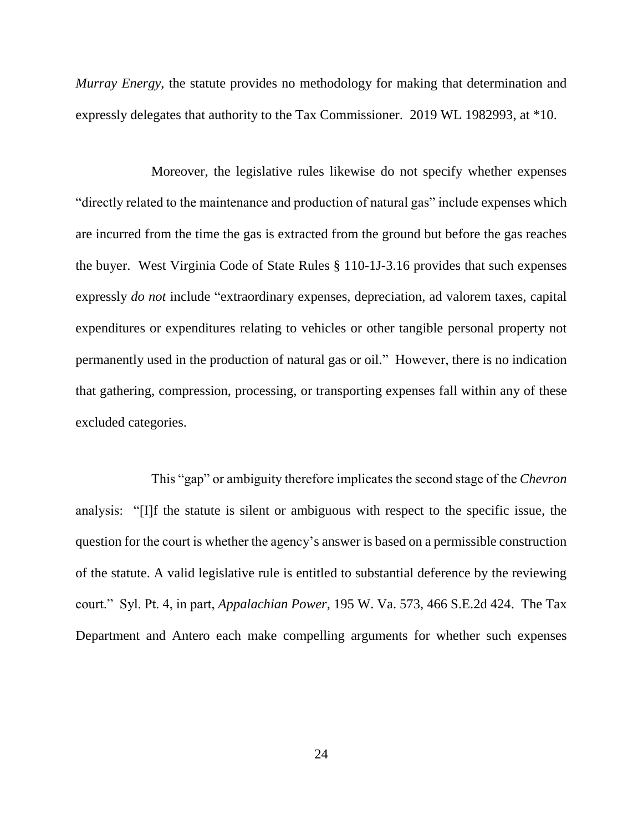*Murray Energy*, the statute provides no methodology for making that determination and expressly delegates that authority to the Tax Commissioner. 2019 WL 1982993, at \*10.

Moreover, the legislative rules likewise do not specify whether expenses "directly related to the maintenance and production of natural gas" include expenses which are incurred from the time the gas is extracted from the ground but before the gas reaches the buyer. West Virginia Code of State Rules § 110-1J-3.16 provides that such expenses expressly *do not* include "extraordinary expenses, depreciation, ad valorem taxes, capital expenditures or expenditures relating to vehicles or other tangible personal property not permanently used in the production of natural gas or oil." However, there is no indication that gathering, compression, processing, or transporting expenses fall within any of these excluded categories.

This "gap" or ambiguity therefore implicates the second stage of the *Chevron* analysis: "[I]f the statute is silent or ambiguous with respect to the specific issue, the question for the court is whether the agency's answer is based on a permissible construction of the statute. A valid legislative rule is entitled to substantial deference by the reviewing court." Syl. Pt. 4, in part, *Appalachian Power,* 195 W. Va. 573, 466 S.E.2d 424. The Tax Department and Antero each make compelling arguments for whether such expenses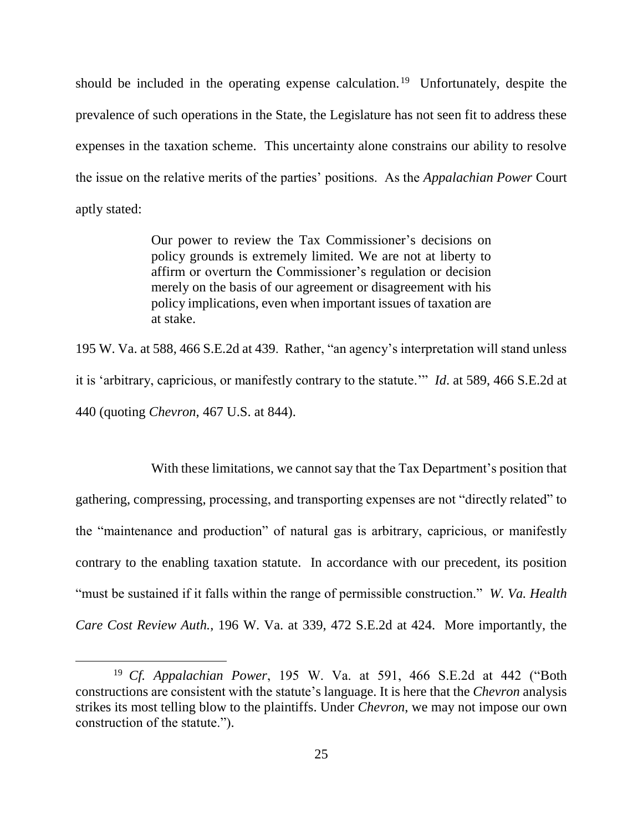should be included in the operating expense calculation.<sup>19</sup> Unfortunately, despite the prevalence of such operations in the State, the Legislature has not seen fit to address these expenses in the taxation scheme. This uncertainty alone constrains our ability to resolve the issue on the relative merits of the parties' positions. As the *Appalachian Power* Court aptly stated:

> Our power to review the Tax Commissioner's decisions on policy grounds is extremely limited. We are not at liberty to affirm or overturn the Commissioner's regulation or decision merely on the basis of our agreement or disagreement with his policy implications, even when important issues of taxation are at stake.

195 W. Va. at 588, 466 S.E.2d at 439. Rather, "an agency's interpretation will stand unless it is 'arbitrary, capricious, or manifestly contrary to the statute.'" *Id*. at 589, 466 S.E.2d at 440 (quoting *Chevron*, 467 U.S. at 844).

With these limitations, we cannot say that the Tax Department's position that gathering, compressing, processing, and transporting expenses are not "directly related" to the "maintenance and production" of natural gas is arbitrary, capricious, or manifestly contrary to the enabling taxation statute. In accordance with our precedent, its position "must be sustained if it falls within the range of permissible construction." *W. Va. Health Care Cost Review Auth.*, 196 W. Va. at 339, 472 S.E.2d at 424. More importantly, the

 $\overline{a}$ 

<sup>19</sup> *Cf. Appalachian Power*, 195 W. Va. at 591, 466 S.E.2d at 442 ("Both constructions are consistent with the statute's language. It is here that the *Chevron* analysis strikes its most telling blow to the plaintiffs. Under *Chevron*, we may not impose our own construction of the statute.").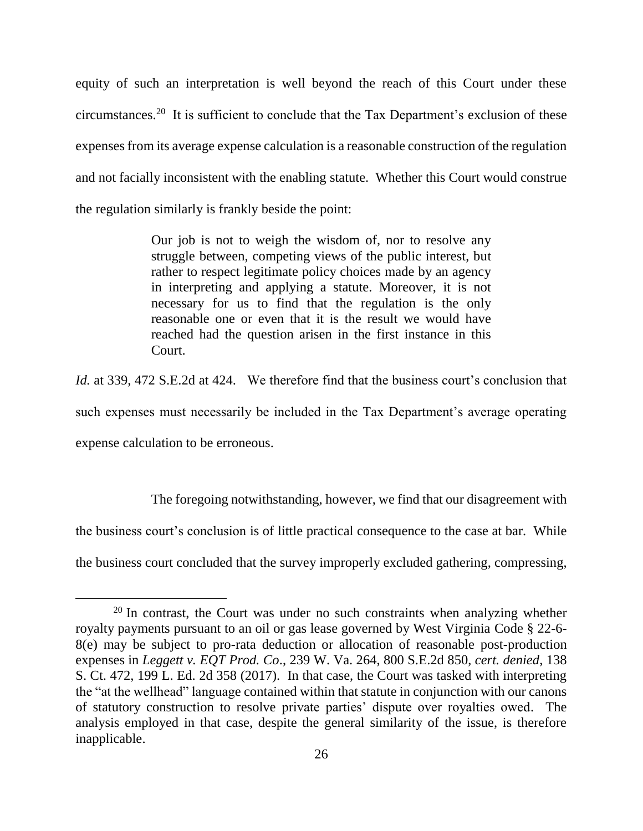equity of such an interpretation is well beyond the reach of this Court under these circumstances.<sup>20</sup> It is sufficient to conclude that the Tax Department's exclusion of these expenses from its average expense calculation is a reasonable construction of the regulation and not facially inconsistent with the enabling statute. Whether this Court would construe the regulation similarly is frankly beside the point:

> Our job is not to weigh the wisdom of, nor to resolve any struggle between, competing views of the public interest, but rather to respect legitimate policy choices made by an agency in interpreting and applying a statute. Moreover, it is not necessary for us to find that the regulation is the only reasonable one or even that it is the result we would have reached had the question arisen in the first instance in this Court.

*Id.* at 339, 472 S.E.2d at 424. We therefore find that the business court's conclusion that such expenses must necessarily be included in the Tax Department's average operating expense calculation to be erroneous.

The foregoing notwithstanding, however, we find that our disagreement with the business court's conclusion is of little practical consequence to the case at bar. While the business court concluded that the survey improperly excluded gathering, compressing,

 $20$  In contrast, the Court was under no such constraints when analyzing whether royalty payments pursuant to an oil or gas lease governed by West Virginia Code § 22-6- 8(e) may be subject to pro-rata deduction or allocation of reasonable post-production expenses in *Leggett v. EQT Prod. Co*., 239 W. Va. 264, 800 S.E.2d 850, *cert. denied*, 138 S. Ct. 472, 199 L. Ed. 2d 358 (2017). In that case, the Court was tasked with interpreting the "at the wellhead" language contained within that statute in conjunction with our canons of statutory construction to resolve private parties' dispute over royalties owed. The analysis employed in that case, despite the general similarity of the issue, is therefore inapplicable.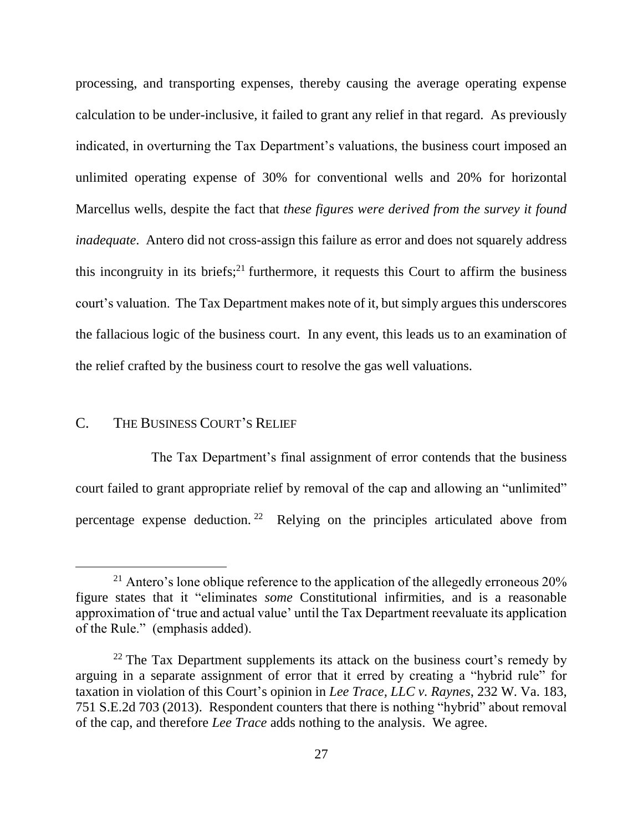processing, and transporting expenses, thereby causing the average operating expense calculation to be under-inclusive, it failed to grant any relief in that regard. As previously indicated, in overturning the Tax Department's valuations, the business court imposed an unlimited operating expense of 30% for conventional wells and 20% for horizontal Marcellus wells, despite the fact that *these figures were derived from the survey it found inadequate*. Antero did not cross-assign this failure as error and does not squarely address this incongruity in its briefs; $21$  furthermore, it requests this Court to affirm the business court's valuation. The Tax Department makes note of it, but simply argues this underscores the fallacious logic of the business court. In any event, this leads us to an examination of the relief crafted by the business court to resolve the gas well valuations.

## C. THE BUSINESS COURT'S RELIEF

 $\overline{a}$ 

The Tax Department's final assignment of error contends that the business court failed to grant appropriate relief by removal of the cap and allowing an "unlimited" percentage expense deduction.<sup>22</sup> Relying on the principles articulated above from

 $21$  Antero's lone oblique reference to the application of the allegedly erroneous  $20\%$ figure states that it "eliminates *some* Constitutional infirmities, and is a reasonable approximation of 'true and actual value' until the Tax Department reevaluate its application of the Rule." (emphasis added).

 $22$  The Tax Department supplements its attack on the business court's remedy by arguing in a separate assignment of error that it erred by creating a "hybrid rule" for taxation in violation of this Court's opinion in *Lee Trace, LLC v. Raynes*, 232 W. Va. 183, 751 S.E.2d 703 (2013). Respondent counters that there is nothing "hybrid" about removal of the cap, and therefore *Lee Trace* adds nothing to the analysis. We agree.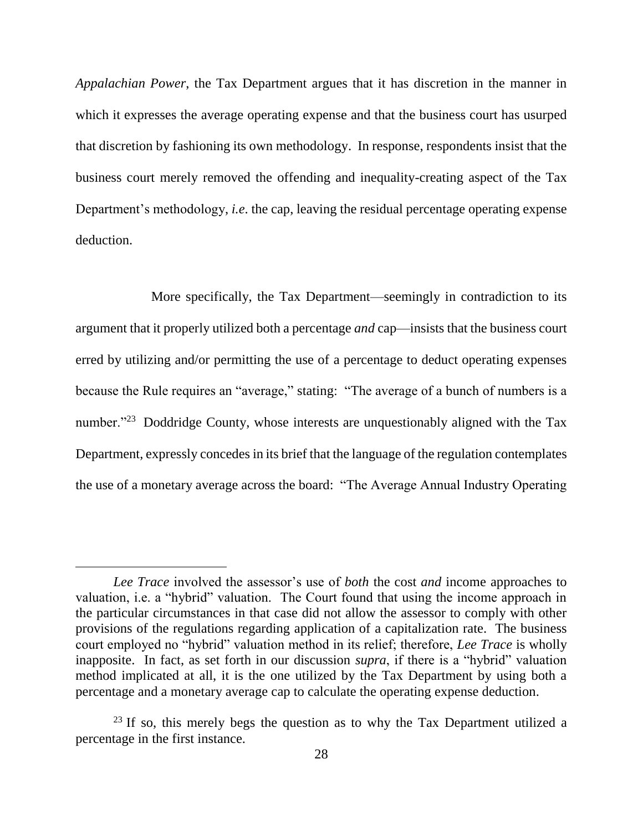*Appalachian Power*, the Tax Department argues that it has discretion in the manner in which it expresses the average operating expense and that the business court has usurped that discretion by fashioning its own methodology. In response, respondents insist that the business court merely removed the offending and inequality-creating aspect of the Tax Department's methodology, *i.e*. the cap, leaving the residual percentage operating expense deduction.

More specifically, the Tax Department—seemingly in contradiction to its argument that it properly utilized both a percentage *and* cap—insists that the business court erred by utilizing and/or permitting the use of a percentage to deduct operating expenses because the Rule requires an "average," stating: "The average of a bunch of numbers is a number."<sup>23</sup> Doddridge County, whose interests are unquestionably aligned with the Tax Department, expressly concedes in its brief that the language of the regulation contemplates the use of a monetary average across the board: "The Average Annual Industry Operating

 $\overline{a}$ 

*Lee Trace* involved the assessor's use of *both* the cost *and* income approaches to valuation, i.e. a "hybrid" valuation. The Court found that using the income approach in the particular circumstances in that case did not allow the assessor to comply with other provisions of the regulations regarding application of a capitalization rate. The business court employed no "hybrid" valuation method in its relief; therefore, *Lee Trace* is wholly inapposite. In fact, as set forth in our discussion *supra*, if there is a "hybrid" valuation method implicated at all, it is the one utilized by the Tax Department by using both a percentage and a monetary average cap to calculate the operating expense deduction.

 $^{23}$  If so, this merely begs the question as to why the Tax Department utilized a percentage in the first instance.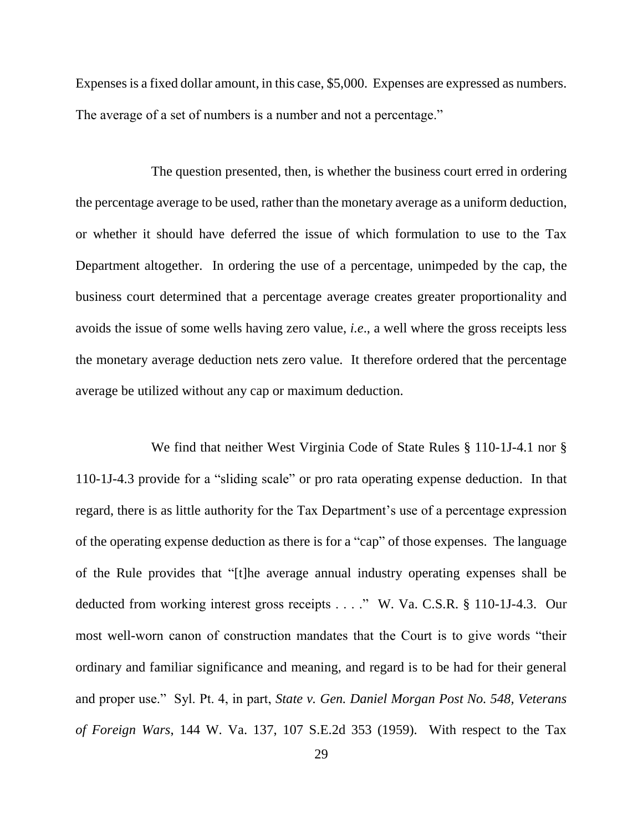Expenses is a fixed dollar amount, in this case, \$5,000. Expenses are expressed as numbers. The average of a set of numbers is a number and not a percentage."

The question presented, then, is whether the business court erred in ordering the percentage average to be used, rather than the monetary average as a uniform deduction, or whether it should have deferred the issue of which formulation to use to the Tax Department altogether. In ordering the use of a percentage, unimpeded by the cap, the business court determined that a percentage average creates greater proportionality and avoids the issue of some wells having zero value, *i.e*., a well where the gross receipts less the monetary average deduction nets zero value. It therefore ordered that the percentage average be utilized without any cap or maximum deduction.

We find that neither West Virginia Code of State Rules § 110-1J-4.1 nor § 110-1J-4.3 provide for a "sliding scale" or pro rata operating expense deduction. In that regard, there is as little authority for the Tax Department's use of a percentage expression of the operating expense deduction as there is for a "cap" of those expenses. The language of the Rule provides that "[t]he average annual industry operating expenses shall be deducted from working interest gross receipts . . . ." W. Va. C.S.R. § 110-1J-4.3. Our most well-worn canon of construction mandates that the Court is to give words "their ordinary and familiar significance and meaning, and regard is to be had for their general and proper use." Syl. Pt. 4, in part, *State v. Gen. Daniel Morgan Post No. 548, Veterans of Foreign Wars*, 144 W. Va. 137, 107 S.E.2d 353 (1959). With respect to the Tax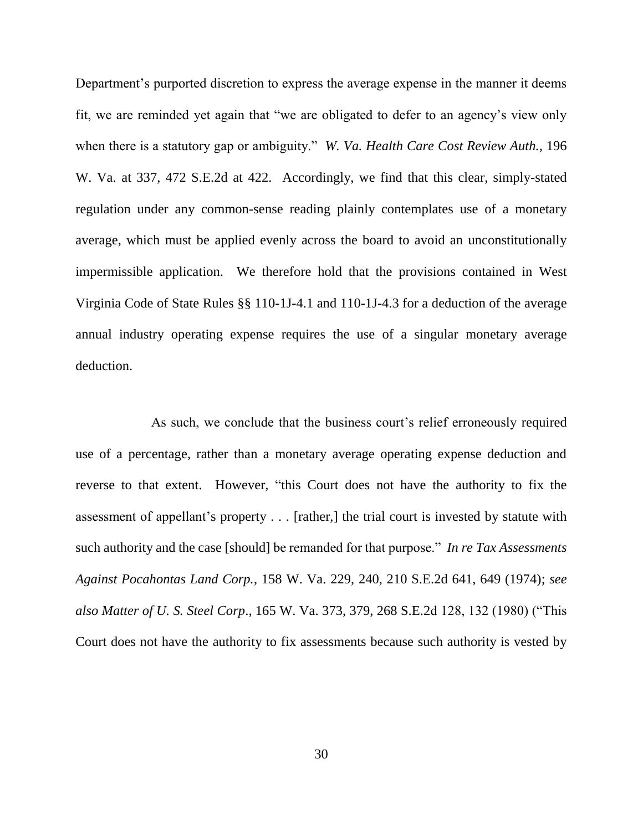Department's purported discretion to express the average expense in the manner it deems fit, we are reminded yet again that "we are obligated to defer to an agency's view only when there is a statutory gap or ambiguity." *W. Va. Health Care Cost Review Auth.,* 196 W. Va. at 337, 472 S.E.2d at 422. Accordingly, we find that this clear, simply-stated regulation under any common-sense reading plainly contemplates use of a monetary average, which must be applied evenly across the board to avoid an unconstitutionally impermissible application. We therefore hold that the provisions contained in West Virginia Code of State Rules §§ 110-1J-4.1 and 110-1J-4.3 for a deduction of the average annual industry operating expense requires the use of a singular monetary average deduction.

As such, we conclude that the business court's relief erroneously required use of a percentage, rather than a monetary average operating expense deduction and reverse to that extent. However, "this Court does not have the authority to fix the assessment of appellant's property . . . [rather,] the trial court is invested by statute with such authority and the case [should] be remanded for that purpose." *In re Tax Assessments Against Pocahontas Land Corp.*, 158 W. Va. 229, 240, 210 S.E.2d 641, 649 (1974); *see also Matter of U. S. Steel Corp*., 165 W. Va. 373, 379, 268 S.E.2d 128, 132 (1980) ("This Court does not have the authority to fix assessments because such authority is vested by